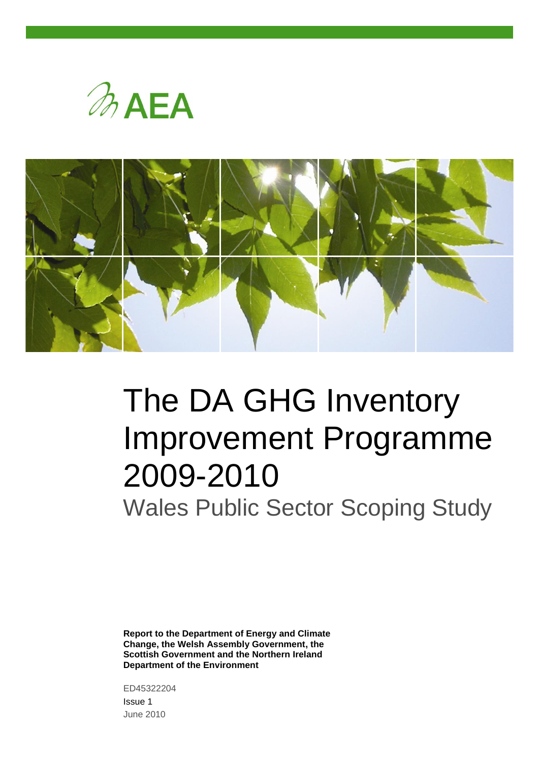



# The DA GHG Inventory Improvement Programme 2009-2010

Wales Public Sector Scoping Study

**Report to the Department of Energy and Climate Change, the Welsh Assembly Government, the Scottish Government and the Northern Ireland Department of the Environment**

ED45322204 Issue 1

June 2010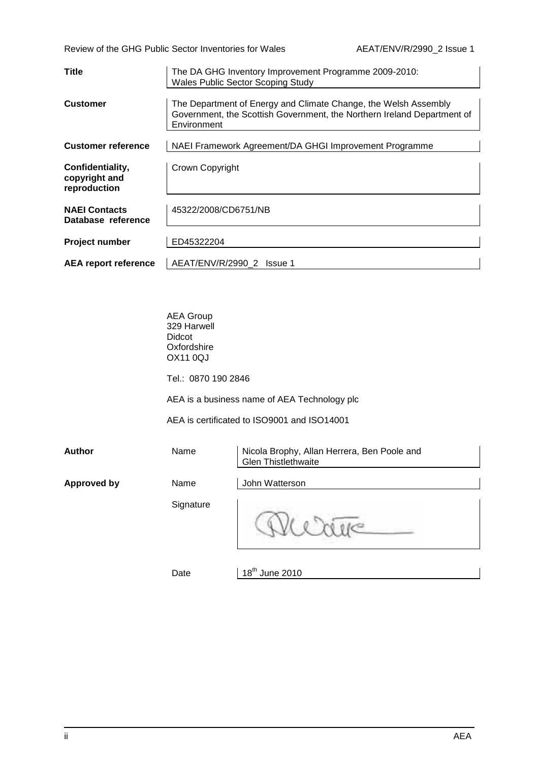Review of the GHG Public Sector Inventories for Wales AEAT/ENV/R/2990\_2 Issue 1

| Title                                             | The DA GHG Inventory Improvement Programme 2009-2010:<br><b>Wales Public Sector Scoping Study</b>                                                         |
|---------------------------------------------------|-----------------------------------------------------------------------------------------------------------------------------------------------------------|
| <b>Customer</b>                                   | The Department of Energy and Climate Change, the Welsh Assembly<br>Government, the Scottish Government, the Northern Ireland Department of<br>Environment |
| <b>Customer reference</b>                         | NAEI Framework Agreement/DA GHGI Improvement Programme                                                                                                    |
| Confidentiality,<br>copyright and<br>reproduction | Crown Copyright                                                                                                                                           |
| <b>NAEI Contacts</b><br>Database reference        | 45322/2008/CD6751/NB                                                                                                                                      |
| <b>Project number</b>                             | ED45322204                                                                                                                                                |
| <b>AEA report reference</b>                       | AEAT/ENV/R/2990 2 Issue 1                                                                                                                                 |

| <b>AEA Group</b> |
|------------------|
| 329 Harwell      |
| Didcot           |
| Oxfordshire      |
| OX11 0QJ         |
|                  |

Tel.: 0870 190 2846

AEA is a business name of AEA Technology plc

AEA is certificated to ISO9001 and ISO14001

| <b>Author</b>      | Name      | Nicola Brophy, Allan Herrera, Ben Poole and<br><b>Glen Thistlethwaite</b> |
|--------------------|-----------|---------------------------------------------------------------------------|
| <b>Approved by</b> | Name      | John Watterson                                                            |
|                    | Signature |                                                                           |

Date

 $18<sup>th</sup>$  June 2010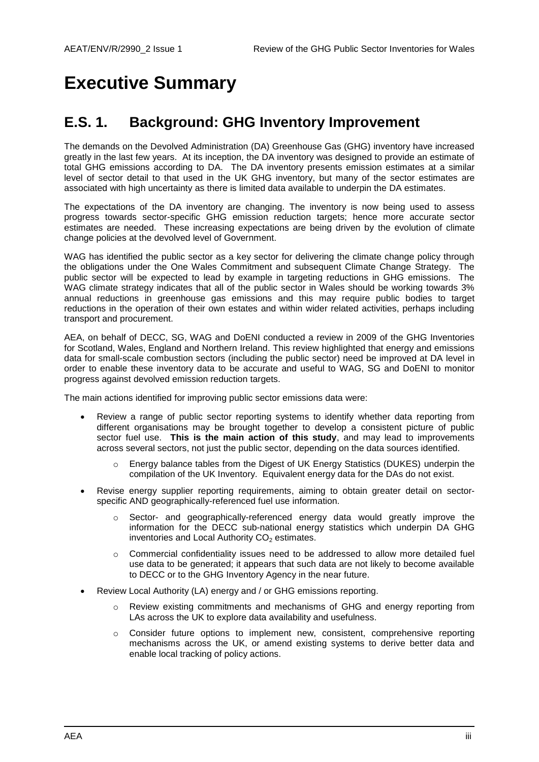## **Executive Summary**

### **E.S. 1. Background: GHG Inventory Improvement**

The demands on the Devolved Administration (DA) Greenhouse Gas (GHG) inventory have increased greatly in the last few years. At its inception, the DA inventory was designed to provide an estimate of total GHG emissions according to DA. The DA inventory presents emission estimates at a similar level of sector detail to that used in the UK GHG inventory, but many of the sector estimates are associated with high uncertainty as there is limited data available to underpin the DA estimates.

The expectations of the DA inventory are changing. The inventory is now being used to assess progress towards sector-specific GHG emission reduction targets; hence more accurate sector estimates are needed. These increasing expectations are being driven by the evolution of climate change policies at the devolved level of Government.

WAG has identified the public sector as a key sector for delivering the climate change policy through the obligations under the One Wales Commitment and subsequent Climate Change Strategy. The public sector will be expected to lead by example in targeting reductions in GHG emissions. The WAG climate strategy indicates that all of the public sector in Wales should be working towards 3% annual reductions in greenhouse gas emissions and this may require public bodies to target reductions in the operation of their own estates and within wider related activities, perhaps including transport and procurement.

AEA, on behalf of DECC, SG, WAG and DoENI conducted a review in 2009 of the GHG Inventories for Scotland, Wales, England and Northern Ireland. This review highlighted that energy and emissions data for small-scale combustion sectors (including the public sector) need be improved at DA level in order to enable these inventory data to be accurate and useful to WAG, SG and DoENI to monitor progress against devolved emission reduction targets.

The main actions identified for improving public sector emissions data were:

- Review a range of public sector reporting systems to identify whether data reporting from different organisations may be brought together to develop a consistent picture of public sector fuel use. **This is the main action of this study**, and may lead to improvements across several sectors, not just the public sector, depending on the data sources identified.
	- o Energy balance tables from the Digest of UK Energy Statistics (DUKES) underpin the compilation of the UK Inventory. Equivalent energy data for the DAs do not exist.
- Revise energy supplier reporting requirements, aiming to obtain greater detail on sectorspecific AND geographically-referenced fuel use information.
	- Sector- and geographically-referenced energy data would greatly improve the information for the DECC sub-national energy statistics which underpin DA GHG inventories and Local Authority  $CO<sub>2</sub>$  estimates.
	- o Commercial confidentiality issues need to be addressed to allow more detailed fuel use data to be generated; it appears that such data are not likely to become available to DECC or to the GHG Inventory Agency in the near future.
- Review Local Authority (LA) energy and / or GHG emissions reporting.
	- o Review existing commitments and mechanisms of GHG and energy reporting from LAs across the UK to explore data availability and usefulness.
	- o Consider future options to implement new, consistent, comprehensive reporting mechanisms across the UK, or amend existing systems to derive better data and enable local tracking of policy actions.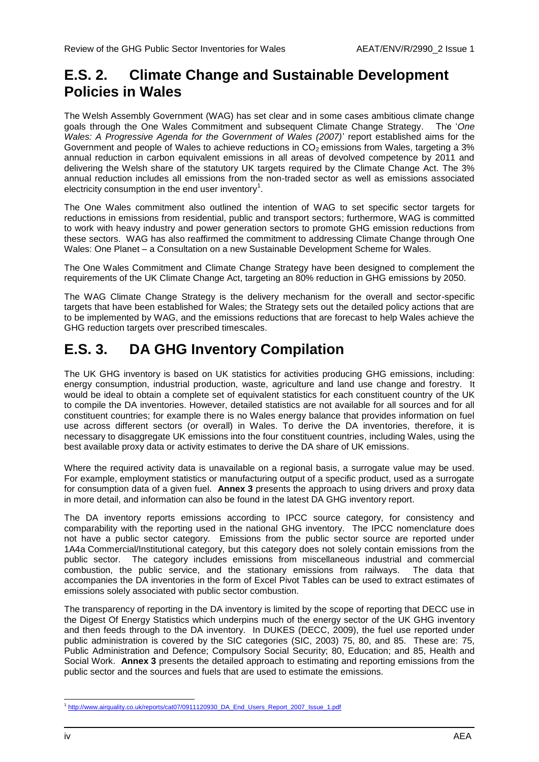### **E.S. 2. Climate Change and Sustainable Development Policies in Wales**

The Welsh Assembly Government (WAG) has set clear and in some cases ambitious climate change goals through the One Wales Commitment and subsequent Climate Change Strategy. The "*One Wales: A Progressive Agenda for the Government of Wales (2007)*" report established aims for the Government and people of Wales to achieve reductions in CO<sub>2</sub> emissions from Wales, targeting a 3% annual reduction in carbon equivalent emissions in all areas of devolved competence by 2011 and delivering the Welsh share of the statutory UK targets required by the Climate Change Act. The 3% annual reduction includes all emissions from the non-traded sector as well as emissions associated electricity consumption in the end user inventory<sup>1</sup>.

The One Wales commitment also outlined the intention of WAG to set specific sector targets for reductions in emissions from residential, public and transport sectors; furthermore, WAG is committed to work with heavy industry and power generation sectors to promote GHG emission reductions from these sectors. WAG has also reaffirmed the commitment to addressing Climate Change through One Wales: One Planet – a Consultation on a new Sustainable Development Scheme for Wales.

The One Wales Commitment and Climate Change Strategy have been designed to complement the requirements of the UK Climate Change Act, targeting an 80% reduction in GHG emissions by 2050.

The WAG Climate Change Strategy is the delivery mechanism for the overall and sector-specific targets that have been established for Wales; the Strategy sets out the detailed policy actions that are to be implemented by WAG, and the emissions reductions that are forecast to help Wales achieve the GHG reduction targets over prescribed timescales.

### **E.S. 3. DA GHG Inventory Compilation**

The UK GHG inventory is based on UK statistics for activities producing GHG emissions, including: energy consumption, industrial production, waste, agriculture and land use change and forestry. It would be ideal to obtain a complete set of equivalent statistics for each constituent country of the UK to compile the DA inventories. However, detailed statistics are not available for all sources and for all constituent countries; for example there is no Wales energy balance that provides information on fuel use across different sectors (or overall) in Wales. To derive the DA inventories, therefore, it is necessary to disaggregate UK emissions into the four constituent countries, including Wales, using the best available proxy data or activity estimates to derive the DA share of UK emissions.

Where the required activity data is unavailable on a regional basis, a surrogate value may be used. For example, employment statistics or manufacturing output of a specific product, used as a surrogate for consumption data of a given fuel. **Annex 3** presents the approach to using drivers and proxy data in more detail, and information can also be found in the latest DA GHG inventory report.

The DA inventory reports emissions according to IPCC source category, for consistency and comparability with the reporting used in the national GHG inventory. The IPCC nomenclature does not have a public sector category. Emissions from the public sector source are reported under 1A4a Commercial/Institutional category, but this category does not solely contain emissions from the public sector. The category includes emissions from miscellaneous industrial and commercial combustion, the public service, and the stationary emissions from railways. The data that accompanies the DA inventories in the form of Excel Pivot Tables can be used to extract estimates of emissions solely associated with public sector combustion.

The transparency of reporting in the DA inventory is limited by the scope of reporting that DECC use in the Digest Of Energy Statistics which underpins much of the energy sector of the UK GHG inventory and then feeds through to the DA inventory. In DUKES (DECC, 2009), the fuel use reported under public administration is covered by the SIC categories (SIC, 2003) 75, 80, and 85. These are: 75, Public Administration and Defence; Compulsory Social Security; 80, Education; and 85, Health and Social Work. **Annex 3** presents the detailed approach to estimating and reporting emissions from the public sector and the sources and fuels that are used to estimate the emissions.

<sup>&</sup>lt;sup>1</sup><br>[http://www.airquality.co.uk/reports/cat07/0911120930\\_DA\\_End\\_Users\\_Report\\_2007\\_Issue\\_1.pdf](http://www.airquality.co.uk/reports/cat07/0911120930_DA_End_Users_Report_2007_Issue_1.pdf)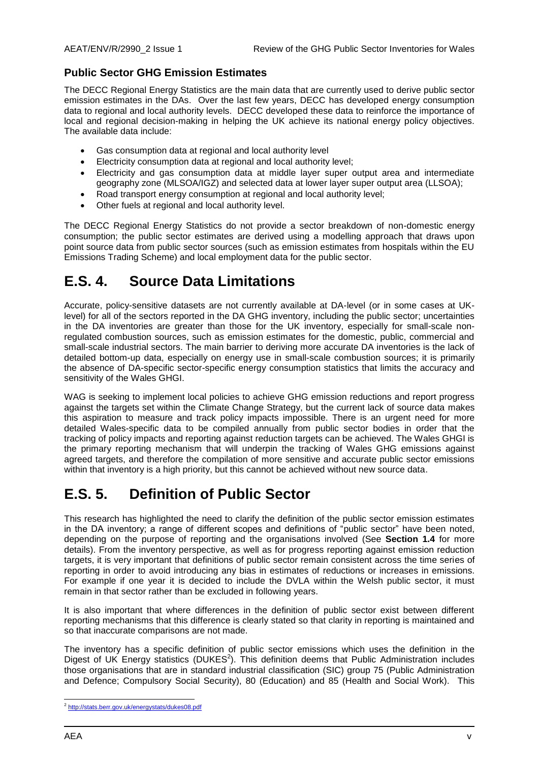### **Public Sector GHG Emission Estimates**

The DECC Regional Energy Statistics are the main data that are currently used to derive public sector emission estimates in the DAs. Over the last few years, DECC has developed energy consumption data to regional and local authority levels. DECC developed these data to reinforce the importance of local and regional decision-making in helping the UK achieve its national energy policy objectives. The available data include:

- Gas consumption data at regional and local authority level
- Electricity consumption data at regional and local authority level;
- Electricity and gas consumption data at middle layer super output area and intermediate geography zone (MLSOA/IGZ) and selected data at lower layer super output area (LLSOA);
- Road transport energy consumption at regional and local authority level;
- Other fuels at regional and local authority level.

The DECC Regional Energy Statistics do not provide a sector breakdown of non-domestic energy consumption; the public sector estimates are derived using a modelling approach that draws upon point source data from public sector sources (such as emission estimates from hospitals within the EU Emissions Trading Scheme) and local employment data for the public sector.

### **E.S. 4. Source Data Limitations**

Accurate, policy-sensitive datasets are not currently available at DA-level (or in some cases at UKlevel) for all of the sectors reported in the DA GHG inventory, including the public sector; uncertainties in the DA inventories are greater than those for the UK inventory, especially for small-scale nonregulated combustion sources, such as emission estimates for the domestic, public, commercial and small-scale industrial sectors. The main barrier to deriving more accurate DA inventories is the lack of detailed bottom-up data, especially on energy use in small-scale combustion sources; it is primarily the absence of DA-specific sector-specific energy consumption statistics that limits the accuracy and sensitivity of the Wales GHGI.

WAG is seeking to implement local policies to achieve GHG emission reductions and report progress against the targets set within the Climate Change Strategy, but the current lack of source data makes this aspiration to measure and track policy impacts impossible. There is an urgent need for more detailed Wales-specific data to be compiled annually from public sector bodies in order that the tracking of policy impacts and reporting against reduction targets can be achieved. The Wales GHGI is the primary reporting mechanism that will underpin the tracking of Wales GHG emissions against agreed targets, and therefore the compilation of more sensitive and accurate public sector emissions within that inventory is a high priority, but this cannot be achieved without new source data.

### **E.S. 5. Definition of Public Sector**

This research has highlighted the need to clarify the definition of the public sector emission estimates in the DA inventory; a range of different scopes and definitions of "public sector" have been noted, depending on the purpose of reporting and the organisations involved (See **Section 1.4** for more details). From the inventory perspective, as well as for progress reporting against emission reduction targets, it is very important that definitions of public sector remain consistent across the time series of reporting in order to avoid introducing any bias in estimates of reductions or increases in emissions. For example if one year it is decided to include the DVLA within the Welsh public sector, it must remain in that sector rather than be excluded in following years.

It is also important that where differences in the definition of public sector exist between different reporting mechanisms that this difference is clearly stated so that clarity in reporting is maintained and so that inaccurate comparisons are not made.

The inventory has a specific definition of public sector emissions which uses the definition in the Digest of UK Energy statistics (DUKES<sup>2</sup>). This definition deems that Public Administration includes those organisations that are in standard industrial classification (SIC) group 75 (Public Administration and Defence; Compulsory Social Security), 80 (Education) and 85 (Health and Social Work). This

<sup>&</sup>lt;sup>2</sup> <http://stats.berr.gov.uk/energystats/dukes08.pdf>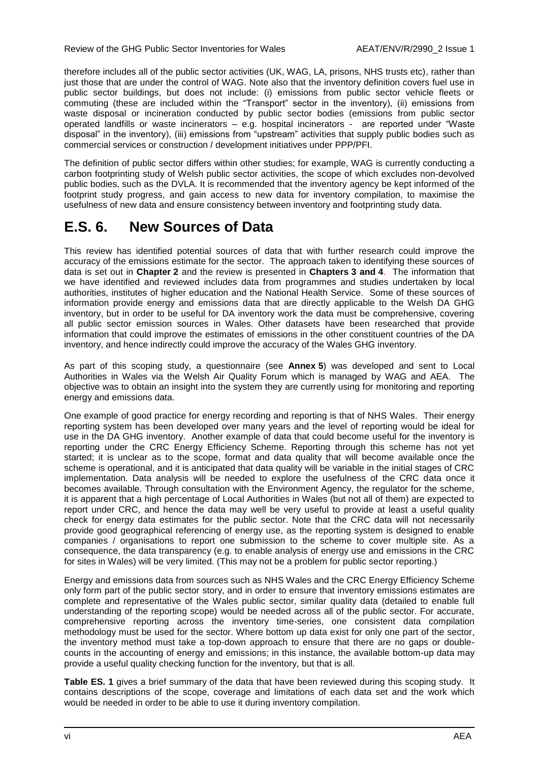therefore includes all of the public sector activities (UK, WAG, LA, prisons, NHS trusts etc), rather than just those that are under the control of WAG. Note also that the inventory definition covers fuel use in public sector buildings, but does not include: (i) emissions from public sector vehicle fleets or commuting (these are included within the "Transport" sector in the inventory), (ii) emissions from waste disposal or incineration conducted by public sector bodies (emissions from public sector operated landfills or waste incinerators – e.g. hospital incinerators - are reported under "Waste disposal" in the inventory), (iii) emissions from "upstream" activities that supply public bodies such as commercial services or construction / development initiatives under PPP/PFI.

The definition of public sector differs within other studies; for example, WAG is currently conducting a carbon footprinting study of Welsh public sector activities, the scope of which excludes non-devolved public bodies, such as the DVLA. It is recommended that the inventory agency be kept informed of the footprint study progress, and gain access to new data for inventory compilation, to maximise the usefulness of new data and ensure consistency between inventory and footprinting study data.

### **E.S. 6. New Sources of Data**

This review has identified potential sources of data that with further research could improve the accuracy of the emissions estimate for the sector. The approach taken to identifying these sources of data is set out in **Chapter [2](#page-13-0)** and the review is presented in **Chapters [3](#page-16-0) and [4](#page-26-0)**. The information that we have identified and reviewed includes data from programmes and studies undertaken by local authorities, institutes of higher education and the National Health Service. Some of these sources of information provide energy and emissions data that are directly applicable to the Welsh DA GHG inventory, but in order to be useful for DA inventory work the data must be comprehensive, covering all public sector emission sources in Wales. Other datasets have been researched that provide information that could improve the estimates of emissions in the other constituent countries of the DA inventory, and hence indirectly could improve the accuracy of the Wales GHG inventory.

As part of this scoping study, a questionnaire (see **Annex 5**) was developed and sent to Local Authorities in Wales via the Welsh Air Quality Forum which is managed by WAG and AEA. The objective was to obtain an insight into the system they are currently using for monitoring and reporting energy and emissions data.

One example of good practice for energy recording and reporting is that of NHS Wales. Their energy reporting system has been developed over many years and the level of reporting would be ideal for use in the DA GHG inventory. Another example of data that could become useful for the inventory is reporting under the CRC Energy Efficiency Scheme. Reporting through this scheme has not yet started; it is unclear as to the scope, format and data quality that will become available once the scheme is operational, and it is anticipated that data quality will be variable in the initial stages of CRC implementation. Data analysis will be needed to explore the usefulness of the CRC data once it becomes available. Through consultation with the Environment Agency, the regulator for the scheme, it is apparent that a high percentage of Local Authorities in Wales (but not all of them) are expected to report under CRC, and hence the data may well be very useful to provide at least a useful quality check for energy data estimates for the public sector. Note that the CRC data will not necessarily provide good geographical referencing of energy use, as the reporting system is designed to enable companies / organisations to report one submission to the scheme to cover multiple site. As a consequence, the data transparency (e.g. to enable analysis of energy use and emissions in the CRC for sites in Wales) will be very limited. (This may not be a problem for public sector reporting.)

Energy and emissions data from sources such as NHS Wales and the CRC Energy Efficiency Scheme only form part of the public sector story, and in order to ensure that inventory emissions estimates are complete and representative of the Wales public sector, similar quality data (detailed to enable full understanding of the reporting scope) would be needed across all of the public sector. For accurate, comprehensive reporting across the inventory time-series, one consistent data compilation methodology must be used for the sector. Where bottom up data exist for only one part of the sector, the inventory method must take a top-down approach to ensure that there are no gaps or doublecounts in the accounting of energy and emissions; in this instance, the available bottom-up data may provide a useful quality checking function for the inventory, but that is all.

**Table ES. 1** gives a brief summary of the data that have been reviewed during this scoping study. It contains descriptions of the scope, coverage and limitations of each data set and the work which would be needed in order to be able to use it during inventory compilation.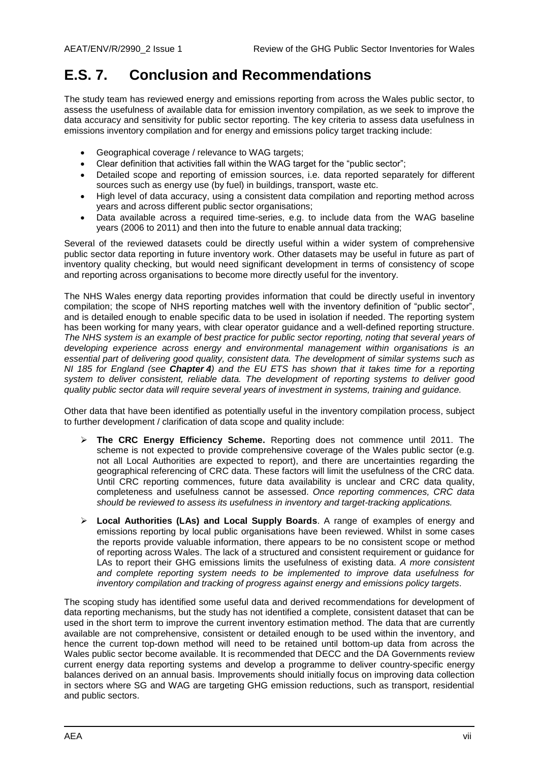### **E.S. 7. Conclusion and Recommendations**

The study team has reviewed energy and emissions reporting from across the Wales public sector, to assess the usefulness of available data for emission inventory compilation, as we seek to improve the data accuracy and sensitivity for public sector reporting. The key criteria to assess data usefulness in emissions inventory compilation and for energy and emissions policy target tracking include:

- Geographical coverage / relevance to WAG targets;
- Clear definition that activities fall within the WAG target for the "public sector";
- Detailed scope and reporting of emission sources, i.e. data reported separately for different sources such as energy use (by fuel) in buildings, transport, waste etc.
- High level of data accuracy, using a consistent data compilation and reporting method across years and across different public sector organisations;
- Data available across a required time-series, e.g. to include data from the WAG baseline years (2006 to 2011) and then into the future to enable annual data tracking;

Several of the reviewed datasets could be directly useful within a wider system of comprehensive public sector data reporting in future inventory work. Other datasets may be useful in future as part of inventory quality checking, but would need significant development in terms of consistency of scope and reporting across organisations to become more directly useful for the inventory.

The NHS Wales energy data reporting provides information that could be directly useful in inventory compilation; the scope of NHS reporting matches well with the inventory definition of "public sector", and is detailed enough to enable specific data to be used in isolation if needed. The reporting system has been working for many years, with clear operator guidance and a well-defined reporting structure. *The NHS system is an example of best practice for public sector reporting, noting that several years of developing experience across energy and environmental management within organisations is an essential part of delivering good quality, consistent data. The development of similar systems such as NI 185 for England (see Chapter [4](#page-26-0)) and the EU ETS has shown that it takes time for a reporting system to deliver consistent, reliable data. The development of reporting systems to deliver good quality public sector data will require several years of investment in systems, training and guidance.*

Other data that have been identified as potentially useful in the inventory compilation process, subject to further development / clarification of data scope and quality include:

- **The CRC Energy Efficiency Scheme.** Reporting does not commence until 2011. The scheme is not expected to provide comprehensive coverage of the Wales public sector (e.g. not all Local Authorities are expected to report), and there are uncertainties regarding the geographical referencing of CRC data. These factors will limit the usefulness of the CRC data. Until CRC reporting commences, future data availability is unclear and CRC data quality, completeness and usefulness cannot be assessed. *Once reporting commences, CRC data should be reviewed to assess its usefulness in inventory and target-tracking applications.*
- **Local Authorities (LAs) and Local Supply Boards**. A range of examples of energy and emissions reporting by local public organisations have been reviewed. Whilst in some cases the reports provide valuable information, there appears to be no consistent scope or method of reporting across Wales. The lack of a structured and consistent requirement or guidance for LAs to report their GHG emissions limits the usefulness of existing data. *A more consistent and complete reporting system needs to be implemented to improve data usefulness for inventory compilation and tracking of progress against energy and emissions policy targets.*

The scoping study has identified some useful data and derived recommendations for development of data reporting mechanisms, but the study has not identified a complete, consistent dataset that can be used in the short term to improve the current inventory estimation method. The data that are currently available are not comprehensive, consistent or detailed enough to be used within the inventory, and hence the current top-down method will need to be retained until bottom-up data from across the Wales public sector become available. It is recommended that DECC and the DA Governments review current energy data reporting systems and develop a programme to deliver country-specific energy balances derived on an annual basis. Improvements should initially focus on improving data collection in sectors where SG and WAG are targeting GHG emission reductions, such as transport, residential and public sectors.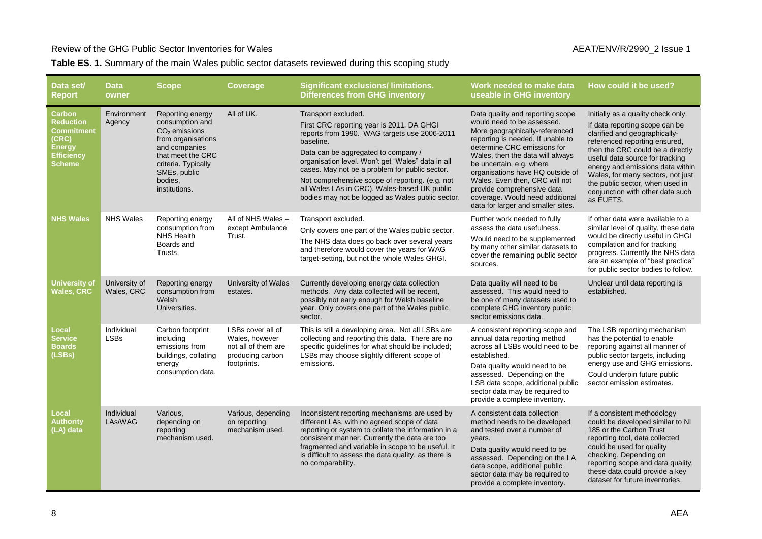#### Review of the GHG Public Sector Inventories for Wales AEAT/ENV/R/2990\_2 Issue 1

#### **Table ES. 1.** Summary of the main Wales public sector datasets reviewed during this scoping study

| Data set/<br><b>Report</b>                                                                 | <b>Data</b><br>owner        | <b>Scope</b>                                                                                                                                                                          | <b>Coverage</b>                                                                               | <b>Significant exclusions/limitations.</b><br><b>Differences from GHG inventory</b>                                                                                                                                                                                                                                                                                                                                                | Work needed to make data<br>useable in GHG inventory                                                                                                                                                                                                                                                                                                                                                              | How could it be used?                                                                                                                                                                                                                                                                                                                                                      |
|--------------------------------------------------------------------------------------------|-----------------------------|---------------------------------------------------------------------------------------------------------------------------------------------------------------------------------------|-----------------------------------------------------------------------------------------------|------------------------------------------------------------------------------------------------------------------------------------------------------------------------------------------------------------------------------------------------------------------------------------------------------------------------------------------------------------------------------------------------------------------------------------|-------------------------------------------------------------------------------------------------------------------------------------------------------------------------------------------------------------------------------------------------------------------------------------------------------------------------------------------------------------------------------------------------------------------|----------------------------------------------------------------------------------------------------------------------------------------------------------------------------------------------------------------------------------------------------------------------------------------------------------------------------------------------------------------------------|
| Carbon<br><b>Reduction</b><br>Commitment<br>(CRC)<br><b>Energy</b><br>Efficiency<br>Scheme | Environment<br>Agency       | Reporting energy<br>consumption and<br>$CO2$ emissions<br>from organisations<br>and companies<br>that meet the CRC<br>criteria. Typically<br>SMEs, public<br>bodies.<br>institutions. | All of UK.                                                                                    | Transport excluded.<br>First CRC reporting year is 2011. DA GHGI<br>reports from 1990. WAG targets use 2006-2011<br>baseline.<br>Data can be aggregated to company /<br>organisation level. Won't get "Wales" data in all<br>cases. May not be a problem for public sector.<br>Not comprehensive scope of reporting. (e.g. not<br>all Wales LAs in CRC). Wales-based UK public<br>bodies may not be logged as Wales public sector. | Data quality and reporting scope<br>would need to be assessed.<br>More geographically-referenced<br>reporting is needed. If unable to<br>determine CRC emissions for<br>Wales, then the data will always<br>be uncertain, e.g. where<br>organisations have HQ outside of<br>Wales. Even then, CRC will not<br>provide comprehensive data<br>coverage. Would need additional<br>data for larger and smaller sites. | Initially as a quality check only.<br>If data reporting scope can be<br>clarified and geographically-<br>referenced reporting ensured,<br>then the CRC could be a directly<br>useful data source for tracking<br>energy and emissions data within<br>Wales, for many sectors, not just<br>the public sector, when used in<br>conjunction with other data such<br>as EUETS. |
| <b>NHS Wales</b>                                                                           | <b>NHS Wales</b>            | Reporting energy<br>consumption from<br><b>NHS Health</b><br>Boards and<br>Trusts.                                                                                                    | All of NHS Wales -<br>except Ambulance<br>Trust.                                              | Transport excluded.<br>Only covers one part of the Wales public sector.<br>The NHS data does go back over several years<br>and therefore would cover the years for WAG<br>target-setting, but not the whole Wales GHGI.                                                                                                                                                                                                            | Further work needed to fully<br>assess the data usefulness.<br>Would need to be supplemented<br>by many other similar datasets to<br>cover the remaining public sector<br>sources.                                                                                                                                                                                                                                | If other data were available to a<br>similar level of quality, these data<br>would be directly useful in GHGI<br>compilation and for tracking<br>progress. Currently the NHS data<br>are an example of "best practice"<br>for public sector bodies to follow.                                                                                                              |
| <b>University of</b><br>Wales, CRC                                                         | University of<br>Wales, CRC | Reporting energy<br>consumption from<br>Welsh<br>Universities.                                                                                                                        | University of Wales<br>estates.                                                               | Currently developing energy data collection<br>methods. Any data collected will be recent,<br>possibly not early enough for Welsh baseline<br>year. Only covers one part of the Wales public<br>sector.                                                                                                                                                                                                                            | Data quality will need to be<br>assessed. This would need to<br>be one of many datasets used to<br>complete GHG inventory public<br>sector emissions data.                                                                                                                                                                                                                                                        | Unclear until data reporting is<br>established.                                                                                                                                                                                                                                                                                                                            |
| Local<br><b>Service</b><br>Boards<br>(LSBs)                                                | Individual<br><b>LSBs</b>   | Carbon footprint<br>including<br>emissions from<br>buildings, collating<br>energy<br>consumption data.                                                                                | LSBs cover all of<br>Wales, however<br>not all of them are<br>producing carbon<br>footprints. | This is still a developing area. Not all LSBs are<br>collecting and reporting this data. There are no<br>specific guidelines for what should be included;<br>LSBs may choose slightly different scope of<br>emissions.                                                                                                                                                                                                             | A consistent reporting scope and<br>annual data reporting method<br>across all LSBs would need to be<br>established.<br>Data quality would need to be<br>assessed. Depending on the<br>LSB data scope, additional public<br>sector data may be required to<br>provide a complete inventory.                                                                                                                       | The LSB reporting mechanism<br>has the potential to enable<br>reporting against all manner of<br>public sector targets, including<br>energy use and GHG emissions.<br>Could underpin future public<br>sector emission estimates.                                                                                                                                           |
| Local<br><b>Authority</b><br>(LA) data                                                     | Individual<br>LAs/WAG       | Various,<br>depending on<br>reporting<br>mechanism used.                                                                                                                              | Various, depending<br>on reporting<br>mechanism used.                                         | Inconsistent reporting mechanisms are used by<br>different LAs, with no agreed scope of data<br>reporting or system to collate the information in a<br>consistent manner. Currently the data are too<br>fragmented and variable in scope to be useful. It<br>is difficult to assess the data quality, as there is<br>no comparability.                                                                                             | A consistent data collection<br>method needs to be developed<br>and tested over a number of<br>years.<br>Data quality would need to be<br>assessed. Depending on the LA<br>data scope, additional public<br>sector data may be required to<br>provide a complete inventory.                                                                                                                                       | If a consistent methodology<br>could be developed similar to NI<br>185 or the Carbon Trust<br>reporting tool, data collected<br>could be used for quality<br>checking. Depending on<br>reporting scope and data quality,<br>these data could provide a key<br>dataset for future inventories.                                                                              |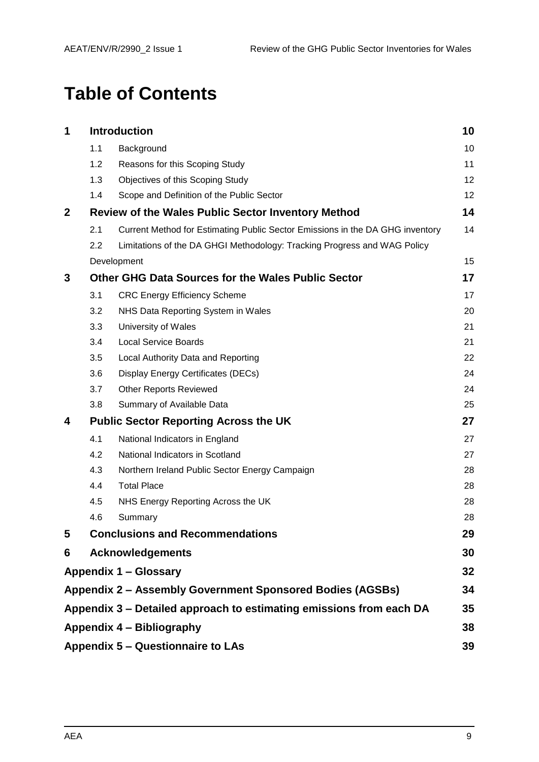## **Table of Contents**

| 1           |     | <b>Introduction</b>                                                           | 10 |
|-------------|-----|-------------------------------------------------------------------------------|----|
|             | 1.1 | Background                                                                    | 10 |
|             | 1.2 | Reasons for this Scoping Study                                                | 11 |
|             | 1.3 | Objectives of this Scoping Study                                              | 12 |
|             | 1.4 | Scope and Definition of the Public Sector                                     | 12 |
| $\mathbf 2$ |     | <b>Review of the Wales Public Sector Inventory Method</b>                     | 14 |
|             | 2.1 | Current Method for Estimating Public Sector Emissions in the DA GHG inventory | 14 |
|             | 2.2 | Limitations of the DA GHGI Methodology: Tracking Progress and WAG Policy      |    |
|             |     | Development                                                                   | 15 |
| 3           |     | Other GHG Data Sources for the Wales Public Sector                            | 17 |
|             | 3.1 | <b>CRC Energy Efficiency Scheme</b>                                           | 17 |
|             | 3.2 | NHS Data Reporting System in Wales                                            | 20 |
|             | 3.3 | University of Wales                                                           | 21 |
|             | 3.4 | <b>Local Service Boards</b>                                                   | 21 |
|             | 3.5 | Local Authority Data and Reporting                                            | 22 |
|             | 3.6 | Display Energy Certificates (DECs)                                            | 24 |
|             | 3.7 | <b>Other Reports Reviewed</b>                                                 | 24 |
|             | 3.8 | Summary of Available Data                                                     | 25 |
| 4           |     | <b>Public Sector Reporting Across the UK</b>                                  | 27 |
|             | 4.1 | National Indicators in England                                                | 27 |
|             | 4.2 | National Indicators in Scotland                                               | 27 |
|             | 4.3 | Northern Ireland Public Sector Energy Campaign                                | 28 |
|             | 4.4 | <b>Total Place</b>                                                            | 28 |
|             | 4.5 | NHS Energy Reporting Across the UK                                            | 28 |
|             | 4.6 | Summary                                                                       | 28 |
| 5           |     | <b>Conclusions and Recommendations</b>                                        | 29 |
| 6           |     | <b>Acknowledgements</b>                                                       | 30 |
|             |     | Appendix 1 - Glossary                                                         | 32 |
|             |     | <b>Appendix 2 - Assembly Government Sponsored Bodies (AGSBs)</b>              | 34 |
|             |     | Appendix 3 – Detailed approach to estimating emissions from each DA           | 35 |
|             |     | Appendix 4 – Bibliography                                                     | 38 |
|             |     | Appendix 5 – Questionnaire to LAs                                             | 39 |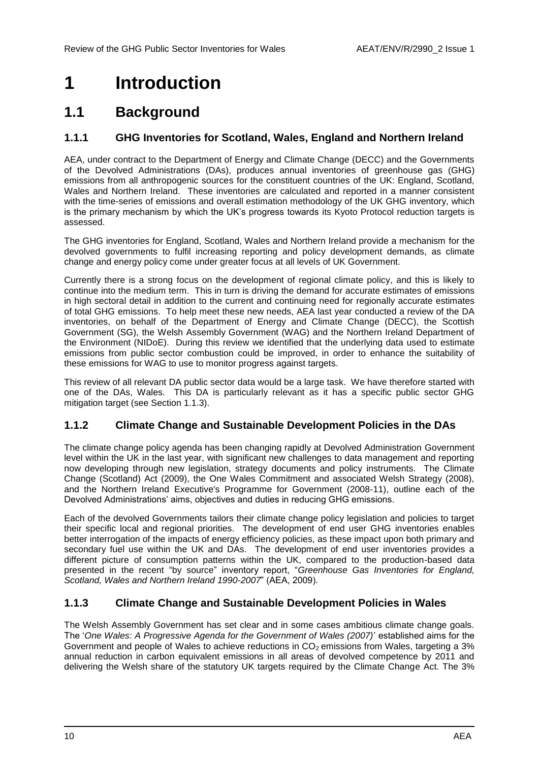## <span id="page-9-0"></span>**1 Introduction**

### <span id="page-9-1"></span>**1.1 Background**

#### **1.1.1 GHG Inventories for Scotland, Wales, England and Northern Ireland**

AEA, under contract to the Department of Energy and Climate Change (DECC) and the Governments of the Devolved Administrations (DAs), produces annual inventories of greenhouse gas (GHG) emissions from all anthropogenic sources for the constituent countries of the UK: England, Scotland, Wales and Northern Ireland. These inventories are calculated and reported in a manner consistent with the time-series of emissions and overall estimation methodology of the UK GHG inventory, which is the primary mechanism by which the UK"s progress towards its Kyoto Protocol reduction targets is assessed.

The GHG inventories for England, Scotland, Wales and Northern Ireland provide a mechanism for the devolved governments to fulfil increasing reporting and policy development demands, as climate change and energy policy come under greater focus at all levels of UK Government.

Currently there is a strong focus on the development of regional climate policy, and this is likely to continue into the medium term. This in turn is driving the demand for accurate estimates of emissions in high sectoral detail in addition to the current and continuing need for regionally accurate estimates of total GHG emissions. To help meet these new needs, AEA last year conducted a review of the DA inventories, on behalf of the Department of Energy and Climate Change (DECC), the Scottish Government (SG), the Welsh Assembly Government (WAG) and the Northern Ireland Department of the Environment (NIDoE). During this review we identified that the underlying data used to estimate emissions from public sector combustion could be improved, in order to enhance the suitability of these emissions for WAG to use to monitor progress against targets.

This review of all relevant DA public sector data would be a large task. We have therefore started with one of the DAs, Wales. This DA is particularly relevant as it has a specific public sector GHG mitigation target (see Section [1.1.3\)](#page-9-2).

#### <span id="page-9-3"></span>**1.1.2 Climate Change and Sustainable Development Policies in the DAs**

The climate change policy agenda has been changing rapidly at Devolved Administration Government level within the UK in the last year, with significant new challenges to data management and reporting now developing through new legislation, strategy documents and policy instruments. The Climate Change (Scotland) Act (2009), the One Wales Commitment and associated Welsh Strategy (2008), and the Northern Ireland Executive's Programme for Government (2008-11), outline each of the Devolved Administrations' aims, objectives and duties in reducing GHG emissions.

Each of the devolved Governments tailors their climate change policy legislation and policies to target their specific local and regional priorities. The development of end user GHG inventories enables better interrogation of the impacts of energy efficiency policies, as these impact upon both primary and secondary fuel use within the UK and DAs. The development of end user inventories provides a different picture of consumption patterns within the UK, compared to the production-based data presented in the recent "by source" inventory report, "*Greenhouse Gas Inventories for England, Scotland, Wales and Northern Ireland 1990-2007*" (AEA, 2009).

### <span id="page-9-2"></span>**1.1.3 Climate Change and Sustainable Development Policies in Wales**

The Welsh Assembly Government has set clear and in some cases ambitious climate change goals. The "*One Wales: A Progressive Agenda for the Government of Wales (2007)*" established aims for the Government and people of Wales to achieve reductions in  $CO<sub>2</sub>$  emissions from Wales, targeting a 3% annual reduction in carbon equivalent emissions in all areas of devolved competence by 2011 and delivering the Welsh share of the statutory UK targets required by the Climate Change Act. The 3%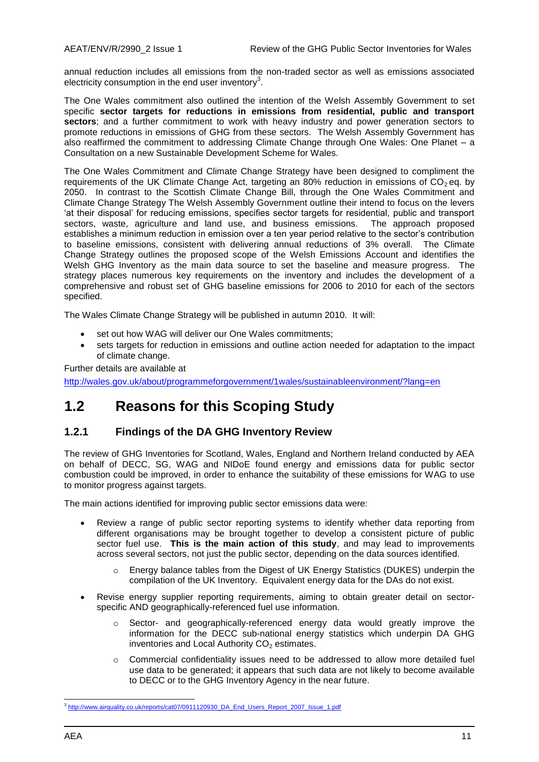annual reduction includes all emissions from the non-traded sector as well as emissions associated electricity consumption in the end user inventory<sup>3</sup>.

The One Wales commitment also outlined the intention of the Welsh Assembly Government to set specific **sector targets for reductions in emissions from residential, public and transport sectors**; and a further commitment to work with heavy industry and power generation sectors to promote reductions in emissions of GHG from these sectors. The Welsh Assembly Government has also reaffirmed the commitment to addressing Climate Change through One Wales: One Planet – a Consultation on a new Sustainable Development Scheme for Wales.

The One Wales Commitment and Climate Change Strategy have been designed to compliment the requirements of the UK Climate Change Act, targeting an 80% reduction in emissions of  $CO<sub>2</sub>$  eq. by 2050. In contrast to the Scottish Climate Change Bill, through the One Wales Commitment and Climate Change Strategy The Welsh Assembly Government outline their intend to focus on the levers "at their disposal" for reducing emissions, specifies sector targets for residential, public and transport sectors, waste, agriculture and land use, and business emissions. The approach proposed establishes a minimum reduction in emission over a ten year period relative to the sector"s contribution to baseline emissions, consistent with delivering annual reductions of 3% overall. The Climate Change Strategy outlines the proposed scope of the Welsh Emissions Account and identifies the Welsh GHG Inventory as the main data source to set the baseline and measure progress. The strategy places numerous key requirements on the inventory and includes the development of a comprehensive and robust set of GHG baseline emissions for 2006 to 2010 for each of the sectors specified.

The Wales Climate Change Strategy will be published in autumn 2010. It will:

- set out how WAG will deliver our One Wales commitments;
- sets targets for reduction in emissions and outline action needed for adaptation to the impact of climate change.

Further details are available at

<http://wales.gov.uk/about/programmeforgovernment/1wales/sustainableenvironment/?lang=en>

### <span id="page-10-0"></span>**1.2 Reasons for this Scoping Study**

#### **1.2.1 Findings of the DA GHG Inventory Review**

The review of GHG Inventories for Scotland, Wales, England and Northern Ireland conducted by AEA on behalf of DECC, SG, WAG and NIDoE found energy and emissions data for public sector combustion could be improved, in order to enhance the suitability of these emissions for WAG to use to monitor progress against targets.

The main actions identified for improving public sector emissions data were:

- Review a range of public sector reporting systems to identify whether data reporting from different organisations may be brought together to develop a consistent picture of public sector fuel use. **This is the main action of this study**, and may lead to improvements across several sectors, not just the public sector, depending on the data sources identified.
	- o Energy balance tables from the Digest of UK Energy Statistics (DUKES) underpin the compilation of the UK Inventory. Equivalent energy data for the DAs do not exist.
- Revise energy supplier reporting requirements, aiming to obtain greater detail on sectorspecific AND geographically-referenced fuel use information.
	- o Sector- and geographically-referenced energy data would greatly improve the information for the DECC sub-national energy statistics which underpin DA GHG inventories and Local Authority  $CO<sub>2</sub>$  estimates.
	- $\circ$  Commercial confidentiality issues need to be addressed to allow more detailed fuel use data to be generated; it appears that such data are not likely to become available to DECC or to the GHG Inventory Agency in the near future.

<sup>&</sup>lt;sup>3</sup><br>[http://www.airquality.co.uk/reports/cat07/0911120930\\_DA\\_End\\_Users\\_Report\\_2007\\_Issue\\_1.pdf](http://www.airquality.co.uk/reports/cat07/0911120930_DA_End_Users_Report_2007_Issue_1.pdf)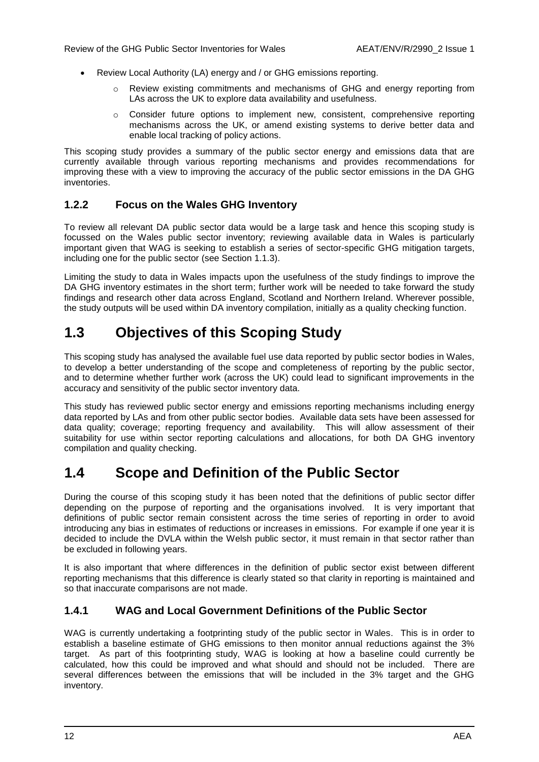- Review Local Authority (LA) energy and / or GHG emissions reporting.
	- o Review existing commitments and mechanisms of GHG and energy reporting from LAs across the UK to explore data availability and usefulness.
	- $\circ$  Consider future options to implement new, consistent, comprehensive reporting mechanisms across the UK, or amend existing systems to derive better data and enable local tracking of policy actions.

This scoping study provides a summary of the public sector energy and emissions data that are currently available through various reporting mechanisms and provides recommendations for improving these with a view to improving the accuracy of the public sector emissions in the DA GHG inventories.

### **1.2.2 Focus on the Wales GHG Inventory**

To review all relevant DA public sector data would be a large task and hence this scoping study is focussed on the Wales public sector inventory; reviewing available data in Wales is particularly important given that WAG is seeking to establish a series of sector-specific GHG mitigation targets, including one for the public sector (see Section [1.1.3\)](#page-9-2).

Limiting the study to data in Wales impacts upon the usefulness of the study findings to improve the DA GHG inventory estimates in the short term; further work will be needed to take forward the study findings and research other data across England, Scotland and Northern Ireland. Wherever possible, the study outputs will be used within DA inventory compilation, initially as a quality checking function.

### <span id="page-11-0"></span>**1.3 Objectives of this Scoping Study**

This scoping study has analysed the available fuel use data reported by public sector bodies in Wales, to develop a better understanding of the scope and completeness of reporting by the public sector, and to determine whether further work (across the UK) could lead to significant improvements in the accuracy and sensitivity of the public sector inventory data.

This study has reviewed public sector energy and emissions reporting mechanisms including energy data reported by LAs and from other public sector bodies. Available data sets have been assessed for data quality; coverage; reporting frequency and availability. This will allow assessment of their suitability for use within sector reporting calculations and allocations, for both DA GHG inventory compilation and quality checking.

### <span id="page-11-1"></span>**1.4 Scope and Definition of the Public Sector**

During the course of this scoping study it has been noted that the definitions of public sector differ depending on the purpose of reporting and the organisations involved. It is very important that definitions of public sector remain consistent across the time series of reporting in order to avoid introducing any bias in estimates of reductions or increases in emissions. For example if one year it is decided to include the DVLA within the Welsh public sector, it must remain in that sector rather than be excluded in following years.

It is also important that where differences in the definition of public sector exist between different reporting mechanisms that this difference is clearly stated so that clarity in reporting is maintained and so that inaccurate comparisons are not made.

### **1.4.1 WAG and Local Government Definitions of the Public Sector**

WAG is currently undertaking a footprinting study of the public sector in Wales. This is in order to establish a baseline estimate of GHG emissions to then monitor annual reductions against the 3% target. As part of this footprinting study, WAG is looking at how a baseline could currently be calculated, how this could be improved and what should and should not be included. There are several differences between the emissions that will be included in the 3% target and the GHG inventory.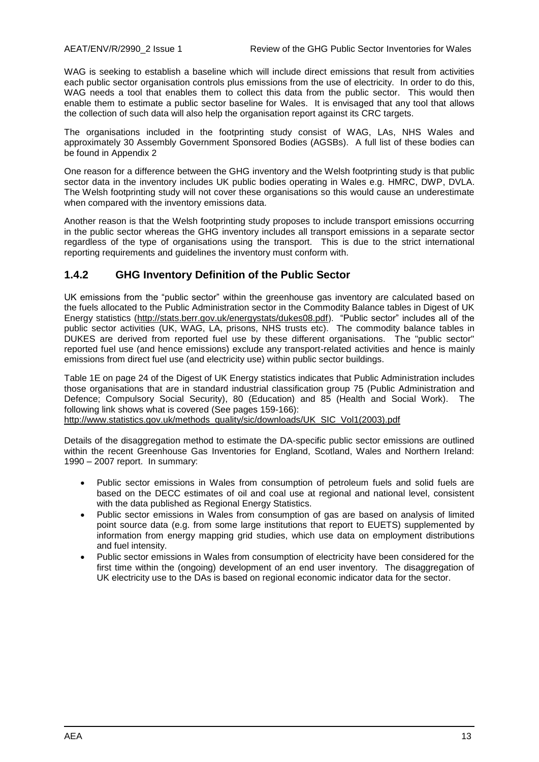WAG is seeking to establish a baseline which will include direct emissions that result from activities each public sector organisation controls plus emissions from the use of electricity. In order to do this, WAG needs a tool that enables them to collect this data from the public sector. This would then enable them to estimate a public sector baseline for Wales. It is envisaged that any tool that allows the collection of such data will also help the organisation report against its CRC targets.

The organisations included in the footprinting study consist of WAG, LAs, NHS Wales and approximately 30 Assembly Government Sponsored Bodies (AGSBs). A full list of these bodies can be found in Appendix 2

One reason for a difference between the GHG inventory and the Welsh footprinting study is that public sector data in the inventory includes UK public bodies operating in Wales e.g. HMRC, DWP, DVLA. The Welsh footprinting study will not cover these organisations so this would cause an underestimate when compared with the inventory emissions data.

Another reason is that the Welsh footprinting study proposes to include transport emissions occurring in the public sector whereas the GHG inventory includes all transport emissions in a separate sector regardless of the type of organisations using the transport. This is due to the strict international reporting requirements and guidelines the inventory must conform with.

### **1.4.2 GHG Inventory Definition of the Public Sector**

UK emissions from the "public sector" within the greenhouse gas inventory are calculated based on the fuels allocated to the Public Administration sector in the Commodity Balance tables in Digest of UK Energy statistics (http://stats.berr.gov.uk/energystats/dukes08.pdf). "Public sector" includes all of the public sector activities (UK, WAG, LA, prisons, NHS trusts etc). The commodity balance tables in DUKES are derived from reported fuel use by these different organisations. The "public sector" reported fuel use (and hence emissions) exclude any transport-related activities and hence is mainly emissions from direct fuel use (and electricity use) within public sector buildings.

Table 1E on page 24 of the Digest of UK Energy statistics indicates that Public Administration includes those organisations that are in standard industrial classification group 75 (Public Administration and Defence; Compulsory Social Security), 80 (Education) and 85 (Health and Social Work). The following link shows what is covered (See pages 159-166): http://www.statistics.gov.uk/methods\_quality/sic/downloads/UK\_SIC\_Vol1(2003).pdf

Details of the disaggregation method to estimate the DA-specific public sector emissions are outlined within the recent Greenhouse Gas Inventories for England, Scotland, Wales and Northern Ireland: 1990 – 2007 report. In summary:

- Public sector emissions in Wales from consumption of petroleum fuels and solid fuels are based on the DECC estimates of oil and coal use at regional and national level, consistent with the data published as Regional Energy Statistics.
- Public sector emissions in Wales from consumption of gas are based on analysis of limited point source data (e.g. from some large institutions that report to EUETS) supplemented by information from energy mapping grid studies, which use data on employment distributions and fuel intensity.
- Public sector emissions in Wales from consumption of electricity have been considered for the first time within the (ongoing) development of an end user inventory. The disaggregation of UK electricity use to the DAs is based on regional economic indicator data for the sector.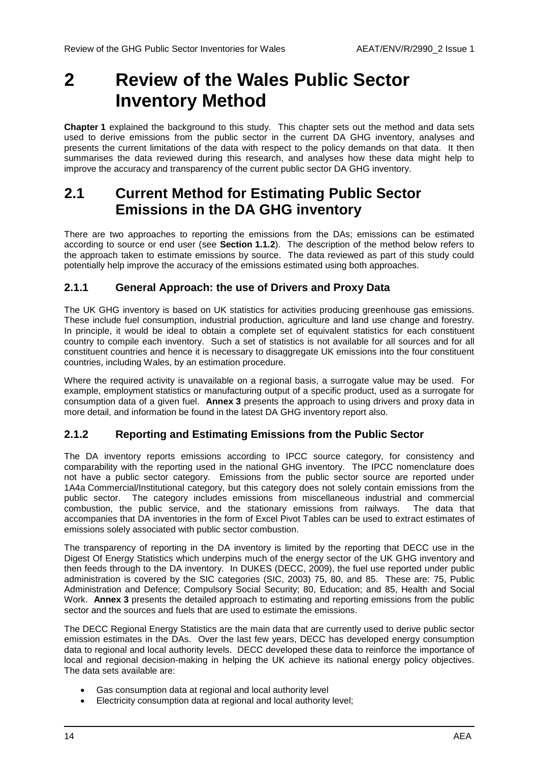## <span id="page-13-0"></span>**2 Review of the Wales Public Sector Inventory Method**

**Chapter [1](#page-9-0)** explained the background to this study. This chapter sets out the method and data sets used to derive emissions from the public sector in the current DA GHG inventory, analyses and presents the current limitations of the data with respect to the policy demands on that data. It then summarises the data reviewed during this research, and analyses how these data might help to improve the accuracy and transparency of the current public sector DA GHG inventory.

### <span id="page-13-1"></span>**2.1 Current Method for Estimating Public Sector Emissions in the DA GHG inventory**

There are two approaches to reporting the emissions from the DAs; emissions can be estimated according to source or end user (see **Section [1.1.2](#page-9-3)**). The description of the method below refers to the approach taken to estimate emissions by source. The data reviewed as part of this study could potentially help improve the accuracy of the emissions estimated using both approaches.

### **2.1.1 General Approach: the use of Drivers and Proxy Data**

The UK GHG inventory is based on UK statistics for activities producing greenhouse gas emissions. These include fuel consumption, industrial production, agriculture and land use change and forestry. In principle, it would be ideal to obtain a complete set of equivalent statistics for each constituent country to compile each inventory. Such a set of statistics is not available for all sources and for all constituent countries and hence it is necessary to disaggregate UK emissions into the four constituent countries, including Wales, by an estimation procedure.

Where the required activity is unavailable on a regional basis, a surrogate value may be used. For example, employment statistics or manufacturing output of a specific product, used as a surrogate for consumption data of a given fuel. **Annex 3** presents the approach to using drivers and proxy data in more detail, and information be found in the latest DA GHG inventory report also.

### <span id="page-13-2"></span>**2.1.2 Reporting and Estimating Emissions from the Public Sector**

The DA inventory reports emissions according to IPCC source category, for consistency and comparability with the reporting used in the national GHG inventory. The IPCC nomenclature does not have a public sector category. Emissions from the public sector source are reported under 1A4a Commercial/Institutional category, but this category does not solely contain emissions from the public sector. The category includes emissions from miscellaneous industrial and commercial combustion, the public service, and the stationary emissions from railways. The data that accompanies that DA inventories in the form of Excel Pivot Tables can be used to extract estimates of emissions solely associated with public sector combustion.

The transparency of reporting in the DA inventory is limited by the reporting that DECC use in the Digest Of Energy Statistics which underpins much of the energy sector of the UK GHG inventory and then feeds through to the DA inventory. In DUKES (DECC, 2009), the fuel use reported under public administration is covered by the SIC categories (SIC, 2003) 75, 80, and 85. These are: 75, Public Administration and Defence; Compulsory Social Security; 80, Education; and 85, Health and Social Work. **Annex 3** presents the detailed approach to estimating and reporting emissions from the public sector and the sources and fuels that are used to estimate the emissions.

The DECC Regional Energy Statistics are the main data that are currently used to derive public sector emission estimates in the DAs. Over the last few years, DECC has developed energy consumption data to regional and local authority levels. DECC developed these data to reinforce the importance of local and regional decision-making in helping the UK achieve its national energy policy objectives. The data sets available are:

- Gas consumption data at regional and local authority level
- Electricity consumption data at regional and local authority level;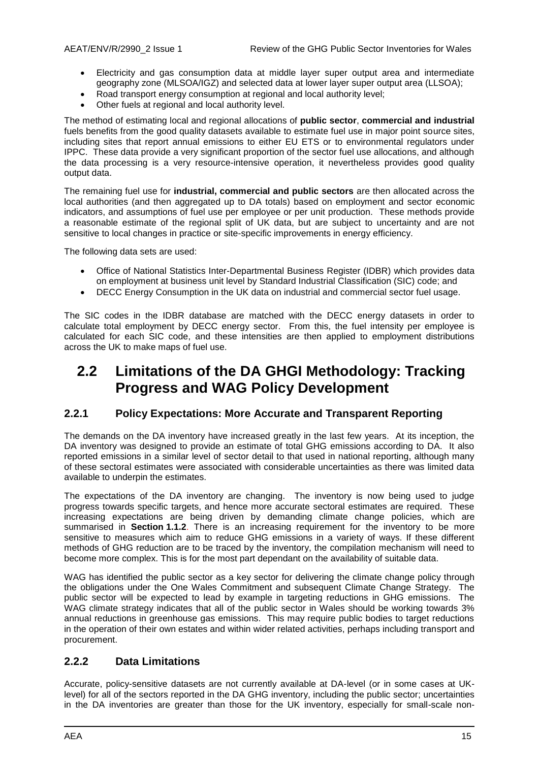- Electricity and gas consumption data at middle layer super output area and intermediate geography zone (MLSOA/IGZ) and selected data at lower layer super output area (LLSOA);
- Road transport energy consumption at regional and local authority level;
- Other fuels at regional and local authority level.

The method of estimating local and regional allocations of **public sector**, **commercial and industrial**  fuels benefits from the good quality datasets available to estimate fuel use in major point source sites, including sites that report annual emissions to either EU ETS or to environmental regulators under IPPC. These data provide a very significant proportion of the sector fuel use allocations, and although the data processing is a very resource-intensive operation, it nevertheless provides good quality output data.

The remaining fuel use for **industrial, commercial and public sectors** are then allocated across the local authorities (and then aggregated up to DA totals) based on employment and sector economic indicators, and assumptions of fuel use per employee or per unit production. These methods provide a reasonable estimate of the regional split of UK data, but are subject to uncertainty and are not sensitive to local changes in practice or site-specific improvements in energy efficiency.

The following data sets are used:

- Office of National Statistics Inter-Departmental Business Register (IDBR) which provides data on employment at business unit level by Standard Industrial Classification (SIC) code; and
- DECC Energy Consumption in the UK data on industrial and commercial sector fuel usage.

The SIC codes in the IDBR database are matched with the DECC energy datasets in order to calculate total employment by DECC energy sector. From this, the fuel intensity per employee is calculated for each SIC code, and these intensities are then applied to employment distributions across the UK to make maps of fuel use.

### <span id="page-14-0"></span>**2.2 Limitations of the DA GHGI Methodology: Tracking Progress and WAG Policy Development**

#### **2.2.1 Policy Expectations: More Accurate and Transparent Reporting**

The demands on the DA inventory have increased greatly in the last few years. At its inception, the DA inventory was designed to provide an estimate of total GHG emissions according to DA. It also reported emissions in a similar level of sector detail to that used in national reporting, although many of these sectoral estimates were associated with considerable uncertainties as there was limited data available to underpin the estimates.

The expectations of the DA inventory are changing. The inventory is now being used to judge progress towards specific targets, and hence more accurate sectoral estimates are required. These increasing expectations are being driven by demanding climate change policies, which are summarised in **Section [1.1.2](#page-9-3)**. There is an increasing requirement for the inventory to be more sensitive to measures which aim to reduce GHG emissions in a variety of ways. If these different methods of GHG reduction are to be traced by the inventory, the compilation mechanism will need to become more complex. This is for the most part dependant on the availability of suitable data.

WAG has identified the public sector as a key sector for delivering the climate change policy through the obligations under the One Wales Commitment and subsequent Climate Change Strategy. The public sector will be expected to lead by example in targeting reductions in GHG emissions. The WAG climate strategy indicates that all of the public sector in Wales should be working towards 3% annual reductions in greenhouse gas emissions. This may require public bodies to target reductions in the operation of their own estates and within wider related activities, perhaps including transport and procurement.

### **2.2.2 Data Limitations**

Accurate, policy-sensitive datasets are not currently available at DA-level (or in some cases at UKlevel) for all of the sectors reported in the DA GHG inventory, including the public sector; uncertainties in the DA inventories are greater than those for the UK inventory, especially for small-scale non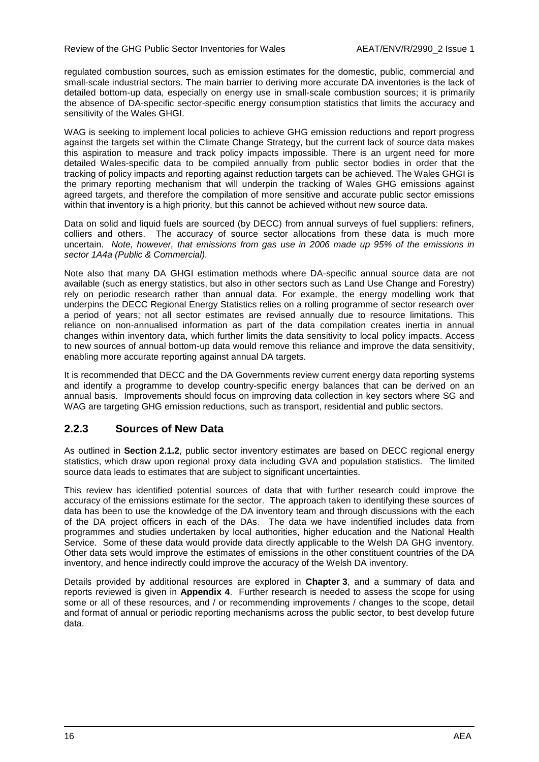regulated combustion sources, such as emission estimates for the domestic, public, commercial and small-scale industrial sectors. The main barrier to deriving more accurate DA inventories is the lack of detailed bottom-up data, especially on energy use in small-scale combustion sources; it is primarily the absence of DA-specific sector-specific energy consumption statistics that limits the accuracy and sensitivity of the Wales GHGI.

WAG is seeking to implement local policies to achieve GHG emission reductions and report progress against the targets set within the Climate Change Strategy, but the current lack of source data makes this aspiration to measure and track policy impacts impossible. There is an urgent need for more detailed Wales-specific data to be compiled annually from public sector bodies in order that the tracking of policy impacts and reporting against reduction targets can be achieved. The Wales GHGI is the primary reporting mechanism that will underpin the tracking of Wales GHG emissions against agreed targets, and therefore the compilation of more sensitive and accurate public sector emissions within that inventory is a high priority, but this cannot be achieved without new source data.

Data on solid and liquid fuels are sourced (by DECC) from annual surveys of fuel suppliers: refiners, colliers and others. The accuracy of source sector allocations from these data is much more uncertain. *Note, however, that emissions from gas use in 2006 made up 95% of the emissions in sector 1A4a (Public & Commercial).*

Note also that many DA GHGI estimation methods where DA-specific annual source data are not available (such as energy statistics, but also in other sectors such as Land Use Change and Forestry) rely on periodic research rather than annual data. For example, the energy modelling work that underpins the DECC Regional Energy Statistics relies on a rolling programme of sector research over a period of years; not all sector estimates are revised annually due to resource limitations. This reliance on non-annualised information as part of the data compilation creates inertia in annual changes within inventory data, which further limits the data sensitivity to local policy impacts. Access to new sources of annual bottom-up data would remove this reliance and improve the data sensitivity, enabling more accurate reporting against annual DA targets.

It is recommended that DECC and the DA Governments review current energy data reporting systems and identify a programme to develop country-specific energy balances that can be derived on an annual basis. Improvements should focus on improving data collection in key sectors where SG and WAG are targeting GHG emission reductions, such as transport, residential and public sectors.

### **2.2.3 Sources of New Data**

As outlined in **Section [2.1.2](#page-13-2)**, public sector inventory estimates are based on DECC regional energy statistics, which draw upon regional proxy data including GVA and population statistics. The limited source data leads to estimates that are subject to significant uncertainties.

This review has identified potential sources of data that with further research could improve the accuracy of the emissions estimate for the sector. The approach taken to identifying these sources of data has been to use the knowledge of the DA inventory team and through discussions with the each of the DA project officers in each of the DAs. The data we have indentified includes data from programmes and studies undertaken by local authorities, higher education and the National Health Service. Some of these data would provide data directly applicable to the Welsh DA GHG inventory. Other data sets would improve the estimates of emissions in the other constituent countries of the DA inventory, and hence indirectly could improve the accuracy of the Welsh DA inventory.

Details provided by additional resources are explored in **Chapter [3](#page-16-0)**, and a summary of data and reports reviewed is given in **Appendix 4**. Further research is needed to assess the scope for using some or all of these resources, and / or recommending improvements / changes to the scope, detail and format of annual or periodic reporting mechanisms across the public sector, to best develop future data.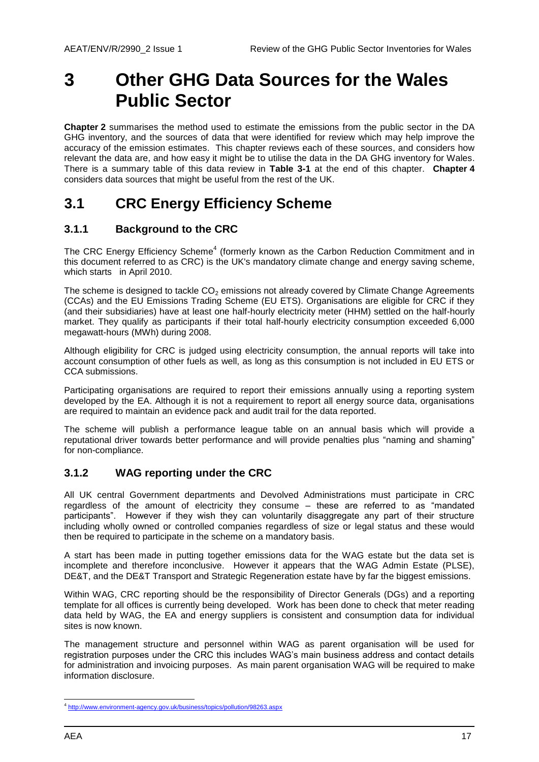## <span id="page-16-0"></span>**3 Other GHG Data Sources for the Wales Public Sector**

**Chapter [2](#page-13-0)** summarises the method used to estimate the emissions from the public sector in the DA GHG inventory, and the sources of data that were identified for review which may help improve the accuracy of the emission estimates. This chapter reviews each of these sources, and considers how relevant the data are, and how easy it might be to utilise the data in the DA GHG inventory for Wales. There is a summary table of this data review in **[Table 3-1](#page-25-0)** at the end of this chapter. **Chapter [4](#page-26-0)** considers data sources that might be useful from the rest of the UK.

### <span id="page-16-1"></span>**3.1 CRC Energy Efficiency Scheme**

### **3.1.1 Background to the CRC**

The CRC Energy Efficiency Scheme<sup>4</sup> (formerly known as the Carbon Reduction Commitment and in this document referred to as CRC) is the UK's mandatory climate change and energy saving scheme, which starts in April 2010.

The scheme is designed to tackle  $CO<sub>2</sub>$  emissions not already covered by Climate Change Agreements (CCAs) and the EU Emissions Trading Scheme (EU ETS). Organisations are eligible for CRC if they (and their subsidiaries) have at least one half-hourly electricity meter (HHM) settled on the half-hourly market. They qualify as participants if their total half-hourly electricity consumption exceeded 6,000 megawatt-hours (MWh) during 2008.

Although eligibility for CRC is judged using electricity consumption, the annual reports will take into account consumption of other fuels as well, as long as this consumption is not included in EU ETS or CCA submissions.

Participating organisations are required to report their emissions annually using a reporting system developed by the EA. Although it is not a requirement to report all energy source data, organisations are required to maintain an evidence pack and audit trail for the data reported.

The scheme will publish a performance league table on an annual basis which will provide a reputational driver towards better performance and will provide penalties plus "naming and shaming" for non-compliance.

### **3.1.2 WAG reporting under the CRC**

All UK central Government departments and Devolved Administrations must participate in CRC regardless of the amount of electricity they consume – these are referred to as "mandated participants". However if they wish they can voluntarily disaggregate any part of their structure including wholly owned or controlled companies regardless of size or legal status and these would then be required to participate in the scheme on a mandatory basis.

A start has been made in putting together emissions data for the WAG estate but the data set is incomplete and therefore inconclusive. However it appears that the WAG Admin Estate (PLSE), DE&T, and the DE&T Transport and Strategic Regeneration estate have by far the biggest emissions.

Within WAG, CRC reporting should be the responsibility of Director Generals (DGs) and a reporting template for all offices is currently being developed. Work has been done to check that meter reading data held by WAG, the EA and energy suppliers is consistent and consumption data for individual sites is now known.

The management structure and personnel within WAG as parent organisation will be used for registration purposes under the CRC this includes WAG"s main business address and contact details for administration and invoicing purposes. As main parent organisation WAG will be required to make information disclosure.

 4 <http://www.environment-agency.gov.uk/business/topics/pollution/98263.aspx>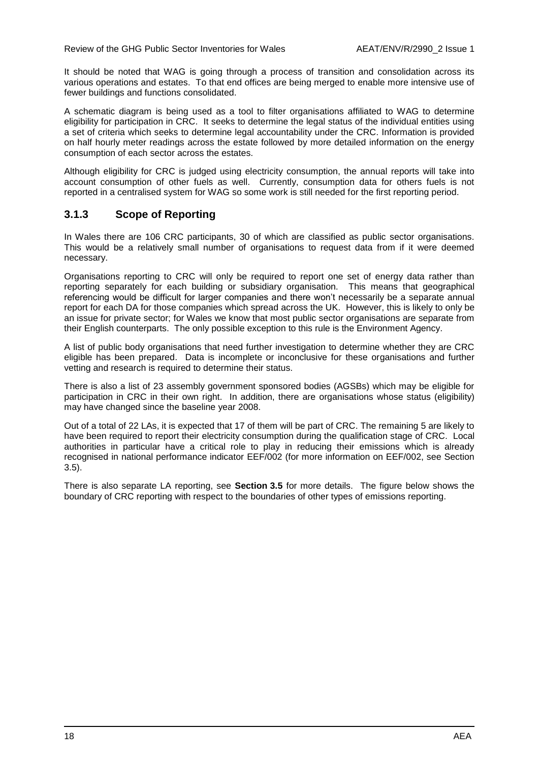It should be noted that WAG is going through a process of transition and consolidation across its various operations and estates. To that end offices are being merged to enable more intensive use of fewer buildings and functions consolidated.

A schematic diagram is being used as a tool to filter organisations affiliated to WAG to determine eligibility for participation in CRC. It seeks to determine the legal status of the individual entities using a set of criteria which seeks to determine legal accountability under the CRC. Information is provided on half hourly meter readings across the estate followed by more detailed information on the energy consumption of each sector across the estates.

Although eligibility for CRC is judged using electricity consumption, the annual reports will take into account consumption of other fuels as well. Currently, consumption data for others fuels is not reported in a centralised system for WAG so some work is still needed for the first reporting period.

### **3.1.3 Scope of Reporting**

In Wales there are 106 CRC participants, 30 of which are classified as public sector organisations. This would be a relatively small number of organisations to request data from if it were deemed necessary.

Organisations reporting to CRC will only be required to report one set of energy data rather than reporting separately for each building or subsidiary organisation. This means that geographical referencing would be difficult for larger companies and there won"t necessarily be a separate annual report for each DA for those companies which spread across the UK. However, this is likely to only be an issue for private sector; for Wales we know that most public sector organisations are separate from their English counterparts. The only possible exception to this rule is the Environment Agency.

A list of public body organisations that need further investigation to determine whether they are CRC eligible has been prepared. Data is incomplete or inconclusive for these organisations and further vetting and research is required to determine their status.

There is also a list of 23 assembly government sponsored bodies (AGSBs) which may be eligible for participation in CRC in their own right. In addition, there are organisations whose status (eligibility) may have changed since the baseline year 2008.

Out of a total of 22 LAs, it is expected that 17 of them will be part of CRC. The remaining 5 are likely to have been required to report their electricity consumption during the qualification stage of CRC. Local authorities in particular have a critical role to play in reducing their emissions which is already recognised in national performance indicator EEF/002 (for more information on EEF/002, see Section [3.5\)](#page-21-0).

There is also separate LA reporting, see **Section [3.5](#page-21-0)** for more details. The figure below shows the boundary of CRC reporting with respect to the boundaries of other types of emissions reporting.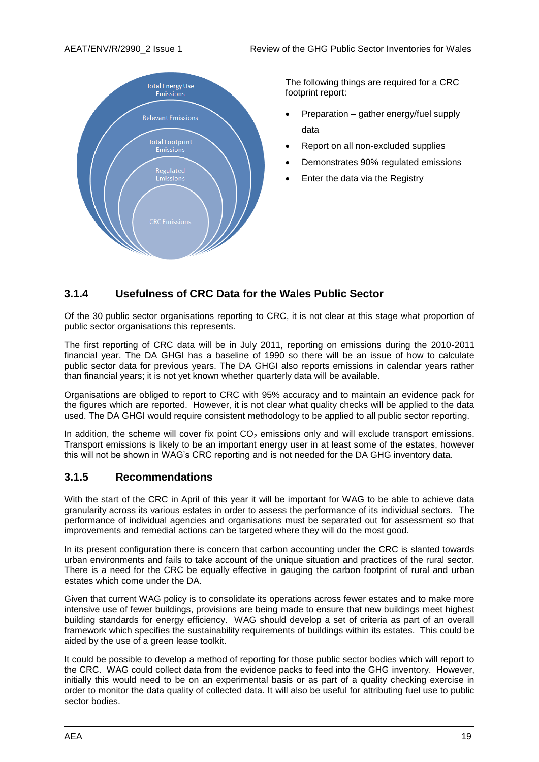

The following things are required for a CRC footprint report:

- Preparation gather energy/fuel supply data
- Report on all non-excluded supplies
- Demonstrates 90% regulated emissions
- Enter the data via the Registry

### **3.1.4 Usefulness of CRC Data for the Wales Public Sector**

Of the 30 public sector organisations reporting to CRC, it is not clear at this stage what proportion of public sector organisations this represents.

The first reporting of CRC data will be in July 2011, reporting on emissions during the 2010-2011 financial year. The DA GHGI has a baseline of 1990 so there will be an issue of how to calculate public sector data for previous years. The DA GHGI also reports emissions in calendar years rather than financial years; it is not yet known whether quarterly data will be available.

Organisations are obliged to report to CRC with 95% accuracy and to maintain an evidence pack for the figures which are reported. However, it is not clear what quality checks will be applied to the data used. The DA GHGI would require consistent methodology to be applied to all public sector reporting.

In addition, the scheme will cover fix point  $CO<sub>2</sub>$  emissions only and will exclude transport emissions. Transport emissions is likely to be an important energy user in at least some of the estates, however this will not be shown in WAG"s CRC reporting and is not needed for the DA GHG inventory data.

### **3.1.5 Recommendations**

With the start of the CRC in April of this year it will be important for WAG to be able to achieve data granularity across its various estates in order to assess the performance of its individual sectors. The performance of individual agencies and organisations must be separated out for assessment so that improvements and remedial actions can be targeted where they will do the most good.

In its present configuration there is concern that carbon accounting under the CRC is slanted towards urban environments and fails to take account of the unique situation and practices of the rural sector. There is a need for the CRC be equally effective in gauging the carbon footprint of rural and urban estates which come under the DA.

Given that current WAG policy is to consolidate its operations across fewer estates and to make more intensive use of fewer buildings, provisions are being made to ensure that new buildings meet highest building standards for energy efficiency. WAG should develop a set of criteria as part of an overall framework which specifies the sustainability requirements of buildings within its estates. This could be aided by the use of a green lease toolkit.

It could be possible to develop a method of reporting for those public sector bodies which will report to the CRC. WAG could collect data from the evidence packs to feed into the GHG inventory. However, initially this would need to be on an experimental basis or as part of a quality checking exercise in order to monitor the data quality of collected data. It will also be useful for attributing fuel use to public sector bodies.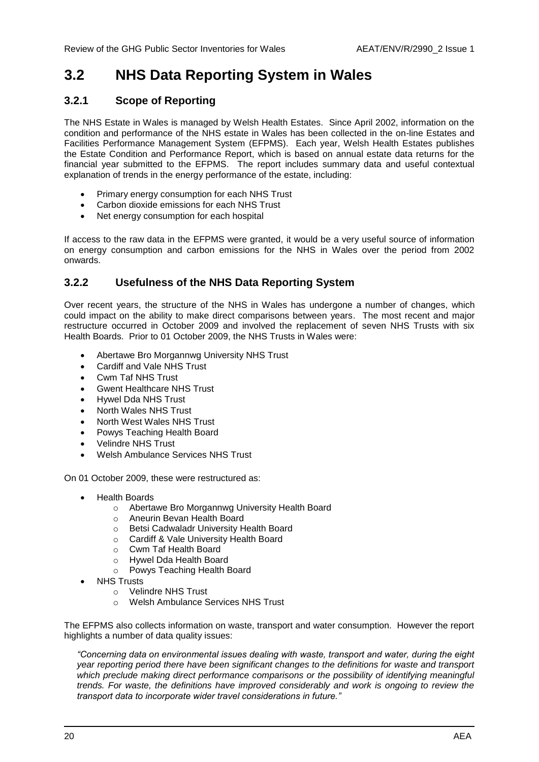### <span id="page-19-0"></span>**3.2 NHS Data Reporting System in Wales**

### **3.2.1 Scope of Reporting**

The NHS Estate in Wales is managed by Welsh Health Estates. Since April 2002, information on the condition and performance of the NHS estate in Wales has been collected in the on-line Estates and Facilities Performance Management System (EFPMS). Each year, Welsh Health Estates publishes the Estate Condition and Performance Report, which is based on annual estate data returns for the financial year submitted to the EFPMS. The report includes summary data and useful contextual explanation of trends in the energy performance of the estate, including:

- Primary energy consumption for each NHS Trust
- Carbon dioxide emissions for each NHS Trust
- Net energy consumption for each hospital

If access to the raw data in the EFPMS were granted, it would be a very useful source of information on energy consumption and carbon emissions for the NHS in Wales over the period from 2002 onwards.

### **3.2.2 Usefulness of the NHS Data Reporting System**

Over recent years, the structure of the NHS in Wales has undergone a number of changes, which could impact on the ability to make direct comparisons between years. The most recent and major restructure occurred in October 2009 and involved the replacement of seven NHS Trusts with six Health Boards. Prior to 01 October 2009, the NHS Trusts in Wales were:

- Abertawe Bro Morgannwg University NHS Trust
- Cardiff and Vale NHS Trust
- Cwm Taf NHS Trust
- Gwent Healthcare NHS Trust
- Hywel Dda NHS Trust
- North Wales NHS Trust
- North West Wales NHS Trust
- Powys Teaching Health Board
- Velindre NHS Trust
- Welsh Ambulance Services NHS Trust

On 01 October 2009, these were restructured as:

- Health Boards
	- o Abertawe Bro Morgannwg University Health Board
		- o Aneurin Bevan Health Board
		- o Betsi Cadwaladr University Health Board
		- o Cardiff & Vale University Health Board
		- o Cwm Taf Health Board
		- o Hywel Dda Health Board
		- o Powys Teaching Health Board
- NHS Trusts
	- o Velindre NHS Trust
	- o Welsh Ambulance Services NHS Trust

The EFPMS also collects information on waste, transport and water consumption. However the report highlights a number of data quality issues:

*"Concerning data on environmental issues dealing with waste, transport and water, during the eight year reporting period there have been significant changes to the definitions for waste and transport*  which preclude making direct performance comparisons or the possibility of identifying meaningful *trends. For waste, the definitions have improved considerably and work is ongoing to review the transport data to incorporate wider travel considerations in future."*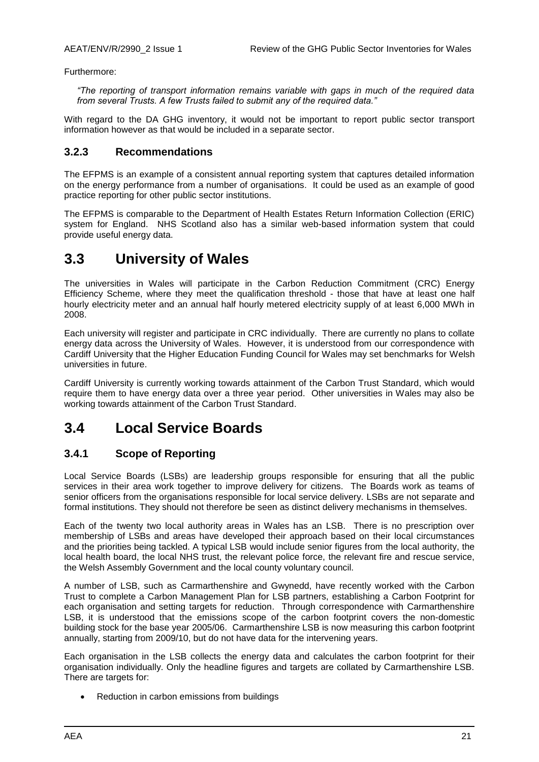Furthermore:

*"The reporting of transport information remains variable with gaps in much of the required data from several Trusts. A few Trusts failed to submit any of the required data."*

With regard to the DA GHG inventory, it would not be important to report public sector transport information however as that would be included in a separate sector.

#### **3.2.3 Recommendations**

The EFPMS is an example of a consistent annual reporting system that captures detailed information on the energy performance from a number of organisations. It could be used as an example of good practice reporting for other public sector institutions.

The EFPMS is comparable to the Department of Health Estates Return Information Collection (ERIC) system for England. NHS Scotland also has a similar web-based information system that could provide useful energy data.

### <span id="page-20-0"></span>**3.3 University of Wales**

The universities in Wales will participate in the Carbon Reduction Commitment (CRC) Energy Efficiency Scheme, where they meet the qualification threshold - those that have at least one half hourly electricity meter and an annual half hourly metered electricity supply of at least 6,000 MWh in 2008.

Each university will register and participate in CRC individually. There are currently no plans to collate energy data across the University of Wales. However, it is understood from our correspondence with Cardiff University that the Higher Education Funding Council for Wales may set benchmarks for Welsh universities in future.

Cardiff University is currently working towards attainment of the Carbon Trust Standard, which would require them to have energy data over a three year period. Other universities in Wales may also be working towards attainment of the Carbon Trust Standard.

### <span id="page-20-1"></span>**3.4 Local Service Boards**

### **3.4.1 Scope of Reporting**

Local Service Boards (LSBs) are leadership groups responsible for ensuring that all the public services in their area work together to improve delivery for citizens. The Boards work as teams of senior officers from the organisations responsible for local service delivery. LSBs are not separate and formal institutions. They should not therefore be seen as distinct delivery mechanisms in themselves.

Each of the twenty two local authority areas in Wales has an LSB. There is no prescription over membership of LSBs and areas have developed their approach based on their local circumstances and the priorities being tackled. A typical LSB would include senior figures from the local authority, the local health board, the local NHS trust, the relevant police force, the relevant fire and rescue service, the Welsh Assembly Government and the local county voluntary council.

A number of LSB, such as Carmarthenshire and Gwynedd, have recently worked with the Carbon Trust to complete a Carbon Management Plan for LSB partners, establishing a Carbon Footprint for each organisation and setting targets for reduction. Through correspondence with Carmarthenshire LSB, it is understood that the emissions scope of the carbon footprint covers the non-domestic building stock for the base year 2005/06. Carmarthenshire LSB is now measuring this carbon footprint annually, starting from 2009/10, but do not have data for the intervening years.

Each organisation in the LSB collects the energy data and calculates the carbon footprint for their organisation individually. Only the headline figures and targets are collated by Carmarthenshire LSB. There are targets for:

• Reduction in carbon emissions from buildings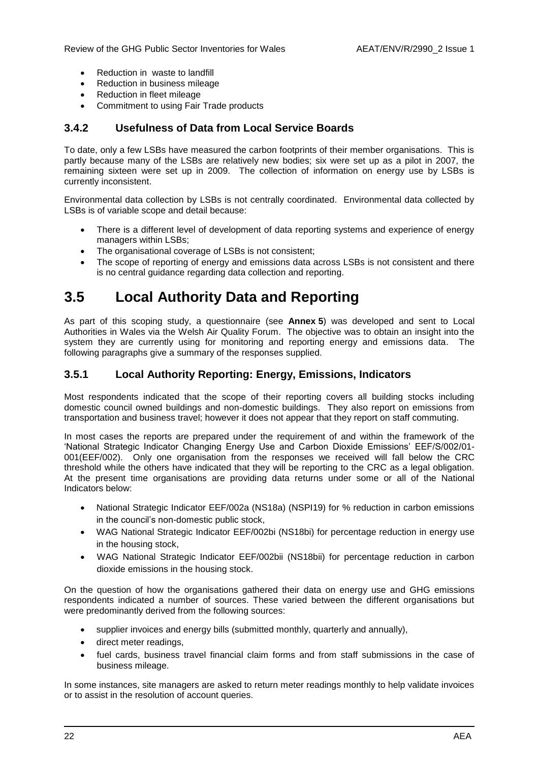- Reduction in waste to landfill
- Reduction in business mileage
- Reduction in fleet mileage
- Commitment to using Fair Trade products

#### **3.4.2 Usefulness of Data from Local Service Boards**

To date, only a few LSBs have measured the carbon footprints of their member organisations. This is partly because many of the LSBs are relatively new bodies; six were set up as a pilot in 2007, the remaining sixteen were set up in 2009. The collection of information on energy use by LSBs is currently inconsistent.

Environmental data collection by LSBs is not centrally coordinated. Environmental data collected by LSBs is of variable scope and detail because:

- There is a different level of development of data reporting systems and experience of energy managers within LSBs;
- The organisational coverage of LSBs is not consistent;
- The scope of reporting of energy and emissions data across LSBs is not consistent and there is no central guidance regarding data collection and reporting.

### <span id="page-21-0"></span>**3.5 Local Authority Data and Reporting**

As part of this scoping study, a questionnaire (see **Annex 5**) was developed and sent to Local Authorities in Wales via the Welsh Air Quality Forum. The objective was to obtain an insight into the system they are currently using for monitoring and reporting energy and emissions data. The following paragraphs give a summary of the responses supplied.

### **3.5.1 Local Authority Reporting: Energy, Emissions, Indicators**

Most respondents indicated that the scope of their reporting covers all building stocks including domestic council owned buildings and non-domestic buildings. They also report on emissions from transportation and business travel; however it does not appear that they report on staff commuting.

In most cases the reports are prepared under the requirement of and within the framework of the "National Strategic Indicator Changing Energy Use and Carbon Dioxide Emissions" EEF/S/002/01- 001(EEF/002). Only one organisation from the responses we received will fall below the CRC threshold while the others have indicated that they will be reporting to the CRC as a legal obligation. At the present time organisations are providing data returns under some or all of the National Indicators below:

- National Strategic Indicator EEF/002a (NS18a) (NSPI19) for % reduction in carbon emissions in the council"s non-domestic public stock,
- WAG National Strategic Indicator EEF/002bi (NS18bi) for percentage reduction in energy use in the housing stock,
- WAG National Strategic Indicator EEF/002bii (NS18bii) for percentage reduction in carbon dioxide emissions in the housing stock.

On the question of how the organisations gathered their data on energy use and GHG emissions respondents indicated a number of sources. These varied between the different organisations but were predominantly derived from the following sources:

- supplier invoices and energy bills (submitted monthly, quarterly and annually),
- direct meter readings,
- fuel cards, business travel financial claim forms and from staff submissions in the case of business mileage.

In some instances, site managers are asked to return meter readings monthly to help validate invoices or to assist in the resolution of account queries.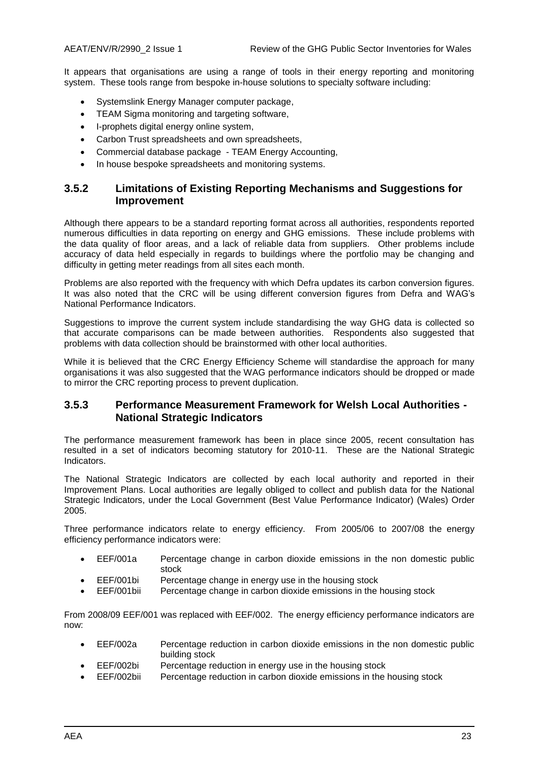It appears that organisations are using a range of tools in their energy reporting and monitoring system. These tools range from bespoke in-house solutions to specialty software including:

- Systemslink Energy Manager computer package,
- TEAM Sigma monitoring and targeting software,
- I-prophets digital energy online system,
- Carbon Trust spreadsheets and own spreadsheets,
- Commercial database package TEAM Energy Accounting,
- In house bespoke spreadsheets and monitoring systems.

#### **3.5.2 Limitations of Existing Reporting Mechanisms and Suggestions for Improvement**

Although there appears to be a standard reporting format across all authorities, respondents reported numerous difficulties in data reporting on energy and GHG emissions. These include problems with the data quality of floor areas, and a lack of reliable data from suppliers. Other problems include accuracy of data held especially in regards to buildings where the portfolio may be changing and difficulty in getting meter readings from all sites each month.

Problems are also reported with the frequency with which Defra updates its carbon conversion figures. It was also noted that the CRC will be using different conversion figures from Defra and WAG"s National Performance Indicators.

Suggestions to improve the current system include standardising the way GHG data is collected so that accurate comparisons can be made between authorities. Respondents also suggested that problems with data collection should be brainstormed with other local authorities.

While it is believed that the CRC Energy Efficiency Scheme will standardise the approach for many organisations it was also suggested that the WAG performance indicators should be dropped or made to mirror the CRC reporting process to prevent duplication.

#### **3.5.3 Performance Measurement Framework for Welsh Local Authorities - National Strategic Indicators**

The performance measurement framework has been in place since 2005, recent consultation has resulted in a set of indicators becoming statutory for 2010-11. These are the National Strategic Indicators.

The National Strategic Indicators are collected by each local authority and reported in their Improvement Plans. Local authorities are legally obliged to collect and publish data for the National Strategic Indicators, under the Local Government (Best Value Performance Indicator) (Wales) Order 2005.

Three performance indicators relate to energy efficiency. From 2005/06 to 2007/08 the energy efficiency performance indicators were:

- EEF/001a Percentage change in carbon dioxide emissions in the non domestic public stock
- EEF/001bi Percentage change in energy use in the housing stock
- EEF/001bii Percentage change in carbon dioxide emissions in the housing stock

From 2008/09 EEF/001 was replaced with EEF/002. The energy efficiency performance indicators are now:

- EEF/002a Percentage reduction in carbon dioxide emissions in the non domestic public building stock
- EEF/002bi Percentage reduction in energy use in the housing stock
- EEF/002bii Percentage reduction in carbon dioxide emissions in the housing stock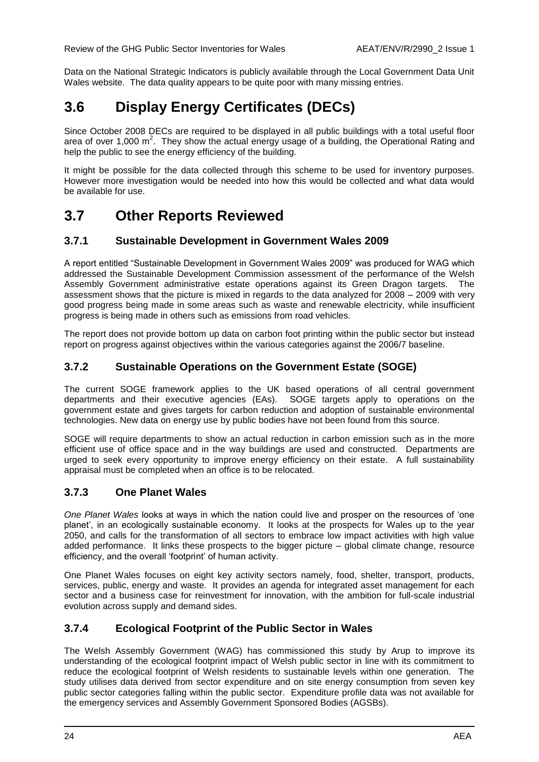Data on the National Strategic Indicators is publicly available through the Local Government Data Unit Wales website. The data quality appears to be quite poor with many missing entries.

### <span id="page-23-0"></span>**3.6 Display Energy Certificates (DECs)**

Since October 2008 DECs are required to be displayed in all public buildings with a total useful floor area of over 1,000 m<sup>2</sup>. They show the actual energy usage of a building, the Operational Rating and help the public to see the energy efficiency of the building.

It might be possible for the data collected through this scheme to be used for inventory purposes. However more investigation would be needed into how this would be collected and what data would be available for use.

### <span id="page-23-1"></span>**3.7 Other Reports Reviewed**

### **3.7.1 Sustainable Development in Government Wales 2009**

A report entitled "Sustainable Development in Government Wales 2009" was produced for WAG which addressed the Sustainable Development Commission assessment of the performance of the Welsh Assembly Government administrative estate operations against its Green Dragon targets. The assessment shows that the picture is mixed in regards to the data analyzed for 2008 – 2009 with very good progress being made in some areas such as waste and renewable electricity, while insufficient progress is being made in others such as emissions from road vehicles.

The report does not provide bottom up data on carbon foot printing within the public sector but instead report on progress against objectives within the various categories against the 2006/7 baseline.

### **3.7.2 Sustainable Operations on the Government Estate (SOGE)**

The current SOGE framework applies to the UK based operations of all central government departments and their executive agencies (EAs). SOGE targets apply to operations on the government estate and gives targets for carbon reduction and adoption of sustainable environmental technologies. New data on energy use by public bodies have not been found from this source.

SOGE will require departments to show an actual reduction in carbon emission such as in the more efficient use of office space and in the way buildings are used and constructed. Departments are urged to seek every opportunity to improve energy efficiency on their estate. A full sustainability appraisal must be completed when an office is to be relocated.

### **3.7.3 One Planet Wales**

*One Planet Wales* looks at ways in which the nation could live and prosper on the resources of "one planet", in an ecologically sustainable economy. It looks at the prospects for Wales up to the year 2050, and calls for the transformation of all sectors to embrace low impact activities with high value added performance. It links these prospects to the bigger picture – global climate change, resource efficiency, and the overall "footprint" of human activity.

One Planet Wales focuses on eight key activity sectors namely, food, shelter, transport, products, services, public, energy and waste. It provides an agenda for integrated asset management for each sector and a business case for reinvestment for innovation, with the ambition for full-scale industrial evolution across supply and demand sides.

### **3.7.4 Ecological Footprint of the Public Sector in Wales**

The Welsh Assembly Government (WAG) has commissioned this study by Arup to improve its understanding of the ecological footprint impact of Welsh public sector in line with its commitment to reduce the ecological footprint of Welsh residents to sustainable levels within one generation. The study utilises data derived from sector expenditure and on site energy consumption from seven key public sector categories falling within the public sector. Expenditure profile data was not available for the emergency services and Assembly Government Sponsored Bodies (AGSBs).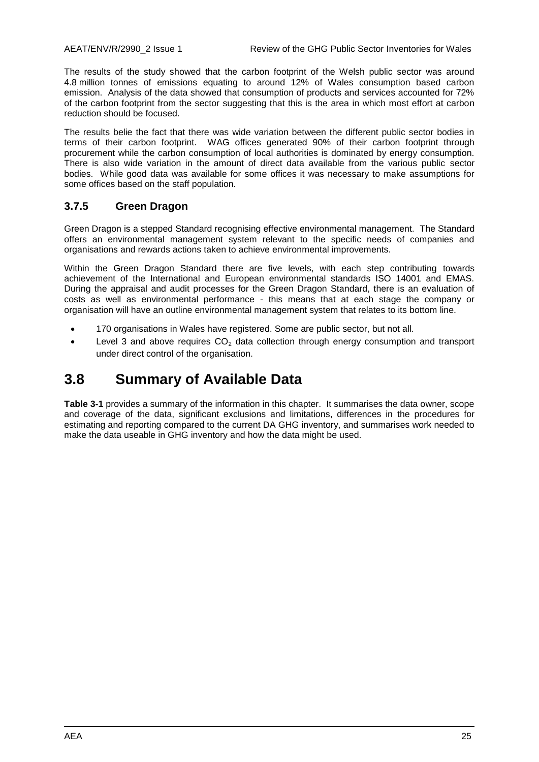The results of the study showed that the carbon footprint of the Welsh public sector was around 4.8 million tonnes of emissions equating to around 12% of Wales consumption based carbon emission. Analysis of the data showed that consumption of products and services accounted for 72% of the carbon footprint from the sector suggesting that this is the area in which most effort at carbon reduction should be focused.

The results belie the fact that there was wide variation between the different public sector bodies in terms of their carbon footprint. WAG offices generated 90% of their carbon footprint through procurement while the carbon consumption of local authorities is dominated by energy consumption. There is also wide variation in the amount of direct data available from the various public sector bodies. While good data was available for some offices it was necessary to make assumptions for some offices based on the staff population.

### **3.7.5 Green Dragon**

Green Dragon is a stepped Standard recognising effective environmental management. The Standard offers an environmental management system relevant to the specific needs of companies and organisations and rewards actions taken to achieve environmental improvements.

Within the Green Dragon Standard there are five levels, with each step contributing towards achievement of the International and European environmental standards ISO 14001 and EMAS. During the appraisal and audit processes for the Green Dragon Standard, there is an evaluation of costs as well as environmental performance - this means that at each stage the company or organisation will have an outline environmental management system that relates to its bottom line.

- 170 organisations in Wales have registered. Some are public sector, but not all.
- Eevel 3 and above requires  $CO<sub>2</sub>$  data collection through energy consumption and transport under direct control of the organisation.

### <span id="page-24-0"></span>**3.8 Summary of Available Data**

**[Table 3-1](#page-25-0)** provides a summary of the information in this chapter. It summarises the data owner, scope and coverage of the data, significant exclusions and limitations, differences in the procedures for estimating and reporting compared to the current DA GHG inventory, and summarises work needed to make the data useable in GHG inventory and how the data might be used.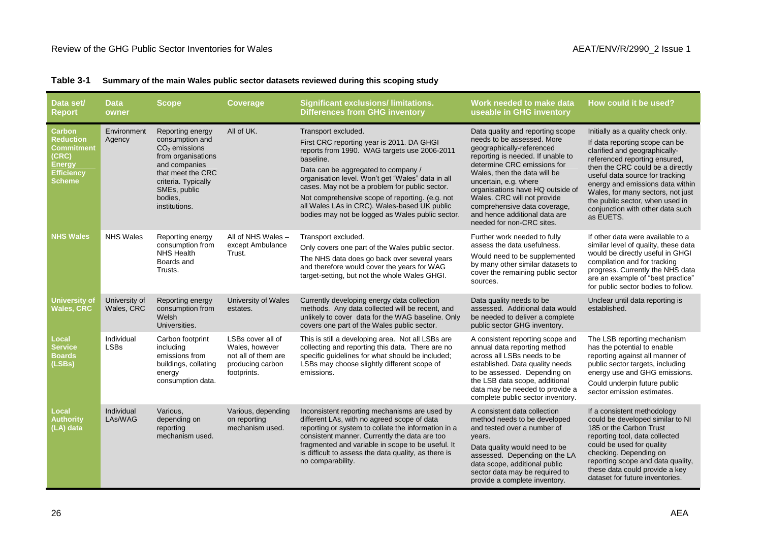|  |  |  |  |  | Table 3-1 Summary of the main Wales public sector datasets reviewed during this scoping study |  |
|--|--|--|--|--|-----------------------------------------------------------------------------------------------|--|
|--|--|--|--|--|-----------------------------------------------------------------------------------------------|--|

<span id="page-25-0"></span>

| Data set/<br><b>Report</b>                                                                                      | <b>Data</b><br>owner        | <b>Scope</b>                                                                                                                                                                          | <b>Coverage</b>                                                                               | <b>Significant exclusions/limitations.</b><br><b>Differences from GHG inventory</b>                                                                                                                                                                                                                                                                                                                                                | Work needed to make data<br>useable in GHG inventory                                                                                                                                                                                                                                                                                                                                      | How could it be used?                                                                                                                                                                                                                                                                                                                                                      |
|-----------------------------------------------------------------------------------------------------------------|-----------------------------|---------------------------------------------------------------------------------------------------------------------------------------------------------------------------------------|-----------------------------------------------------------------------------------------------|------------------------------------------------------------------------------------------------------------------------------------------------------------------------------------------------------------------------------------------------------------------------------------------------------------------------------------------------------------------------------------------------------------------------------------|-------------------------------------------------------------------------------------------------------------------------------------------------------------------------------------------------------------------------------------------------------------------------------------------------------------------------------------------------------------------------------------------|----------------------------------------------------------------------------------------------------------------------------------------------------------------------------------------------------------------------------------------------------------------------------------------------------------------------------------------------------------------------------|
| Carbon<br><b>Reduction</b><br><b>Commitment</b><br>(CRC)<br><b>Energy</b><br><b>Efficiency</b><br><b>Scheme</b> | Environment<br>Agency       | Reporting energy<br>consumption and<br>$CO2$ emissions<br>from organisations<br>and companies<br>that meet the CRC<br>criteria. Typically<br>SMEs, public<br>bodies.<br>institutions. | All of UK.                                                                                    | Transport excluded.<br>First CRC reporting year is 2011. DA GHGI<br>reports from 1990. WAG targets use 2006-2011<br>baseline.<br>Data can be aggregated to company /<br>organisation level. Won't get "Wales" data in all<br>cases. May not be a problem for public sector.<br>Not comprehensive scope of reporting. (e.g. not<br>all Wales LAs in CRC). Wales-based UK public<br>bodies may not be logged as Wales public sector. | Data quality and reporting scope<br>needs to be assessed. More<br>geographically-referenced<br>reporting is needed. If unable to<br>determine CRC emissions for<br>Wales, then the data will be<br>uncertain, e.g. where<br>organisations have HQ outside of<br>Wales. CRC will not provide<br>comprehensive data coverage,<br>and hence additional data are<br>needed for non-CRC sites. | Initially as a quality check only.<br>If data reporting scope can be<br>clarified and geographically-<br>referenced reporting ensured,<br>then the CRC could be a directly<br>useful data source for tracking<br>energy and emissions data within<br>Wales, for many sectors, not just<br>the public sector, when used in<br>conjunction with other data such<br>as EUETS. |
| <b>NHS Wales</b>                                                                                                | <b>NHS Wales</b>            | Reporting energy<br>consumption from<br><b>NHS Health</b><br>Boards and<br>Trusts.                                                                                                    | All of NHS Wales -<br>except Ambulance<br>Trust.                                              | Transport excluded.<br>Only covers one part of the Wales public sector.<br>The NHS data does go back over several years<br>and therefore would cover the years for WAG<br>target-setting, but not the whole Wales GHGI.                                                                                                                                                                                                            | Further work needed to fully<br>assess the data usefulness.<br>Would need to be supplemented<br>by many other similar datasets to<br>cover the remaining public sector<br>sources.                                                                                                                                                                                                        | If other data were available to a<br>similar level of quality, these data<br>would be directly useful in GHGI<br>compilation and for tracking<br>progress. Currently the NHS data<br>are an example of "best practice"<br>for public sector bodies to follow.                                                                                                              |
| <b>University of</b><br><b>Wales, CRC</b>                                                                       | University of<br>Wales, CRC | Reporting energy<br>consumption from<br>Welsh<br>Universities.                                                                                                                        | University of Wales<br>estates.                                                               | Currently developing energy data collection<br>methods. Any data collected will be recent, and<br>unlikely to cover data for the WAG baseline. Only<br>covers one part of the Wales public sector.                                                                                                                                                                                                                                 | Data quality needs to be<br>assessed. Additional data would<br>be needed to deliver a complete<br>public sector GHG inventory.                                                                                                                                                                                                                                                            | Unclear until data reporting is<br>established.                                                                                                                                                                                                                                                                                                                            |
| Local<br><b>Service</b><br><b>Boards</b><br>(LSBs)                                                              | Individual<br><b>LSBs</b>   | Carbon footprint<br>including<br>emissions from<br>buildings, collating<br>energy<br>consumption data.                                                                                | LSBs cover all of<br>Wales, however<br>not all of them are<br>producing carbon<br>footprints. | This is still a developing area. Not all LSBs are<br>collecting and reporting this data. There are no<br>specific guidelines for what should be included;<br>LSBs may choose slightly different scope of<br>emissions.                                                                                                                                                                                                             | A consistent reporting scope and<br>annual data reporting method<br>across all LSBs needs to be<br>established. Data quality needs<br>to be assessed. Depending on<br>the LSB data scope, additional<br>data may be needed to provide a<br>complete public sector inventory.                                                                                                              | The LSB reporting mechanism<br>has the potential to enable<br>reporting against all manner of<br>public sector targets, including<br>energy use and GHG emissions.<br>Could underpin future public<br>sector emission estimates.                                                                                                                                           |
| <b>Local</b><br><b>Authority</b><br>(LA) data                                                                   | Individual<br>LAs/WAG       | Various,<br>depending on<br>reporting<br>mechanism used.                                                                                                                              | Various, depending<br>on reporting<br>mechanism used.                                         | Inconsistent reporting mechanisms are used by<br>different LAs, with no agreed scope of data<br>reporting or system to collate the information in a<br>consistent manner. Currently the data are too<br>fragmented and variable in scope to be useful. It<br>is difficult to assess the data quality, as there is<br>no comparability.                                                                                             | A consistent data collection<br>method needs to be developed<br>and tested over a number of<br>years.<br>Data quality would need to be<br>assessed. Depending on the LA<br>data scope, additional public<br>sector data may be required to<br>provide a complete inventory.                                                                                                               | If a consistent methodology<br>could be developed similar to NI<br>185 or the Carbon Trust<br>reporting tool, data collected<br>could be used for quality<br>checking. Depending on<br>reporting scope and data quality,<br>these data could provide a key<br>dataset for future inventories.                                                                              |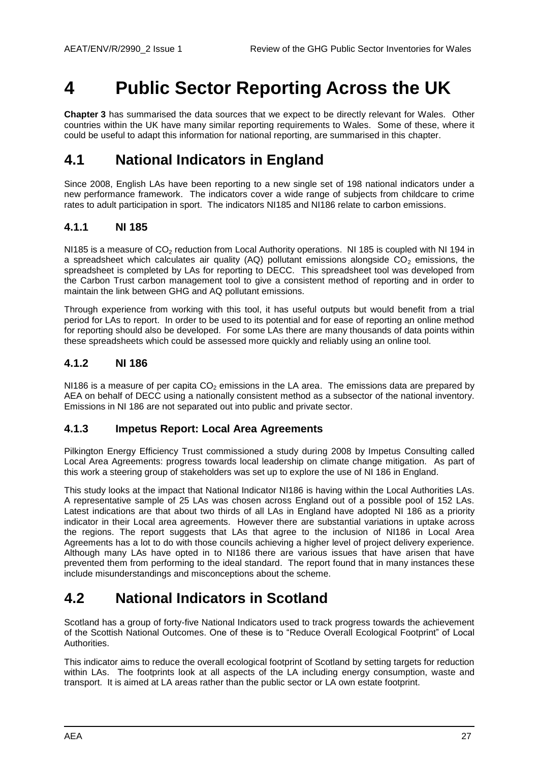## <span id="page-26-0"></span>**4 Public Sector Reporting Across the UK**

**Chapter [3](#page-16-0)** has summarised the data sources that we expect to be directly relevant for Wales. Other countries within the UK have many similar reporting requirements to Wales. Some of these, where it could be useful to adapt this information for national reporting, are summarised in this chapter.

### <span id="page-26-1"></span>**4.1 National Indicators in England**

Since 2008, English LAs have been reporting to a new single set of 198 national indicators under a new performance framework. The indicators cover a wide range of subjects from childcare to crime rates to adult participation in sport. The indicators NI185 and NI186 relate to carbon emissions.

### **4.1.1 NI 185**

NI185 is a measure of CO<sub>2</sub> reduction from Local Authority operations. NI 185 is coupled with NI 194 in a spreadsheet which calculates air quality (AQ) pollutant emissions alongside  $CO<sub>2</sub>$  emissions, the spreadsheet is completed by LAs for reporting to DECC. This spreadsheet tool was developed from the Carbon Trust carbon management tool to give a consistent method of reporting and in order to maintain the link between GHG and AQ pollutant emissions.

Through experience from working with this tool, it has useful outputs but would benefit from a trial period for LAs to report. In order to be used to its potential and for ease of reporting an online method for reporting should also be developed. For some LAs there are many thousands of data points within these spreadsheets which could be assessed more quickly and reliably using an online tool.

### **4.1.2 NI 186**

NI186 is a measure of per capita  $CO<sub>2</sub>$  emissions in the LA area. The emissions data are prepared by AEA on behalf of DECC using a nationally consistent method as a subsector of the national inventory. Emissions in NI 186 are not separated out into public and private sector.

### **4.1.3 Impetus Report: Local Area Agreements**

Pilkington Energy Efficiency Trust commissioned a study during 2008 by Impetus Consulting called Local Area Agreements: progress towards local leadership on climate change mitigation. As part of this work a steering group of stakeholders was set up to explore the use of NI 186 in England.

This study looks at the impact that National Indicator NI186 is having within the Local Authorities LAs. A representative sample of 25 LAs was chosen across England out of a possible pool of 152 LAs. Latest indications are that about two thirds of all LAs in England have adopted NI 186 as a priority indicator in their Local area agreements. However there are substantial variations in uptake across the regions. The report suggests that LAs that agree to the inclusion of NI186 in Local Area Agreements has a lot to do with those councils achieving a higher level of project delivery experience. Although many LAs have opted in to NI186 there are various issues that have arisen that have prevented them from performing to the ideal standard. The report found that in many instances these include misunderstandings and misconceptions about the scheme.

### <span id="page-26-2"></span>**4.2 National Indicators in Scotland**

Scotland has a group of forty-five National Indicators used to track progress towards the achievement of the Scottish National Outcomes. One of these is to "Reduce Overall Ecological Footprint" of Local Authorities.

This indicator aims to reduce the overall ecological footprint of Scotland by setting targets for reduction within LAs. The footprints look at all aspects of the LA including energy consumption, waste and transport. It is aimed at LA areas rather than the public sector or LA own estate footprint.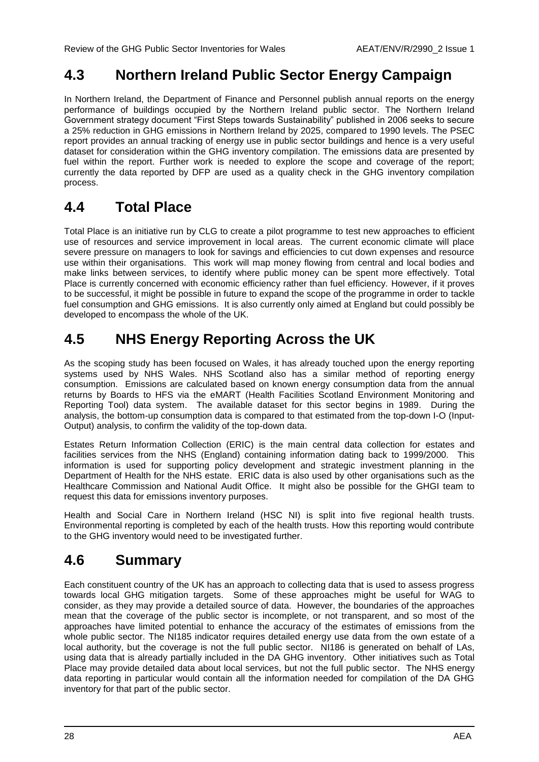### <span id="page-27-0"></span>**4.3 Northern Ireland Public Sector Energy Campaign**

In Northern Ireland, the Department of Finance and Personnel publish annual reports on the energy performance of buildings occupied by the Northern Ireland public sector. The Northern Ireland Government strategy document "First Steps towards Sustainability" published in 2006 seeks to secure a 25% reduction in GHG emissions in Northern Ireland by 2025, compared to 1990 levels. The PSEC report provides an annual tracking of energy use in public sector buildings and hence is a very useful dataset for consideration within the GHG inventory compilation. The emissions data are presented by fuel within the report. Further work is needed to explore the scope and coverage of the report; currently the data reported by DFP are used as a quality check in the GHG inventory compilation process.

### <span id="page-27-1"></span>**4.4 Total Place**

Total Place is an initiative run by CLG to create a pilot programme to test new approaches to efficient use of resources and service improvement in local areas. The current economic climate will place severe pressure on managers to look for savings and efficiencies to cut down expenses and resource use within their organisations. This work will map money flowing from central and local bodies and make links between services, to identify where public money can be spent more effectively. Total Place is currently concerned with economic efficiency rather than fuel efficiency. However, if it proves to be successful, it might be possible in future to expand the scope of the programme in order to tackle fuel consumption and GHG emissions. It is also currently only aimed at England but could possibly be developed to encompass the whole of the UK.

### <span id="page-27-2"></span>**4.5 NHS Energy Reporting Across the UK**

As the scoping study has been focused on Wales, it has already touched upon the energy reporting systems used by NHS Wales. NHS Scotland also has a similar method of reporting energy consumption. Emissions are calculated based on known energy consumption data from the annual returns by Boards to HFS via the eMART (Health Facilities Scotland Environment Monitoring and Reporting Tool) data system. The available dataset for this sector begins in 1989. During the analysis, the bottom-up consumption data is compared to that estimated from the top-down I-O (Input-Output) analysis, to confirm the validity of the top-down data.

Estates Return Information Collection (ERIC) is the main central data collection for estates and facilities services from the NHS (England) containing information dating back to 1999/2000. This information is used for supporting policy development and strategic investment planning in the Department of Health for the NHS estate. ERIC data is also used by other organisations such as the Healthcare Commission and National Audit Office. It might also be possible for the GHGI team to request this data for emissions inventory purposes.

Health and Social Care in Northern Ireland (HSC NI) is split into five regional health trusts. Environmental reporting is completed by each of the health trusts. How this reporting would contribute to the GHG inventory would need to be investigated further.

### <span id="page-27-3"></span>**4.6 Summary**

Each constituent country of the UK has an approach to collecting data that is used to assess progress towards local GHG mitigation targets. Some of these approaches might be useful for WAG to consider, as they may provide a detailed source of data. However, the boundaries of the approaches mean that the coverage of the public sector is incomplete, or not transparent, and so most of the approaches have limited potential to enhance the accuracy of the estimates of emissions from the whole public sector. The NI185 indicator requires detailed energy use data from the own estate of a local authority, but the coverage is not the full public sector. NI186 is generated on behalf of LAs, using data that is already partially included in the DA GHG inventory. Other initiatives such as Total Place may provide detailed data about local services, but not the full public sector. The NHS energy data reporting in particular would contain all the information needed for compilation of the DA GHG inventory for that part of the public sector.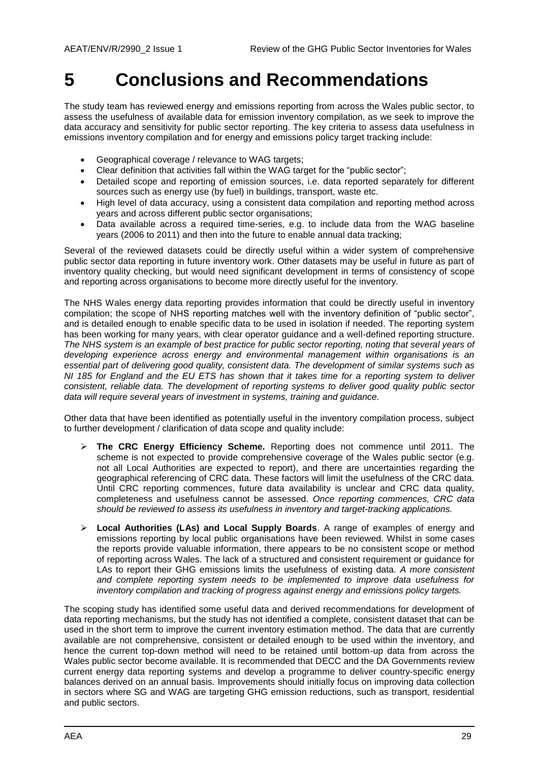## <span id="page-28-0"></span>**5 Conclusions and Recommendations**

The study team has reviewed energy and emissions reporting from across the Wales public sector, to assess the usefulness of available data for emission inventory compilation, as we seek to improve the data accuracy and sensitivity for public sector reporting. The key criteria to assess data usefulness in emissions inventory compilation and for energy and emissions policy target tracking include:

- Geographical coverage / relevance to WAG targets;
- Clear definition that activities fall within the WAG target for the "public sector";
- Detailed scope and reporting of emission sources, i.e. data reported separately for different sources such as energy use (by fuel) in buildings, transport, waste etc.
- High level of data accuracy, using a consistent data compilation and reporting method across years and across different public sector organisations;
- Data available across a required time-series, e.g. to include data from the WAG baseline years (2006 to 2011) and then into the future to enable annual data tracking;

Several of the reviewed datasets could be directly useful within a wider system of comprehensive public sector data reporting in future inventory work. Other datasets may be useful in future as part of inventory quality checking, but would need significant development in terms of consistency of scope and reporting across organisations to become more directly useful for the inventory.

The NHS Wales energy data reporting provides information that could be directly useful in inventory compilation; the scope of NHS reporting matches well with the inventory definition of "public sector", and is detailed enough to enable specific data to be used in isolation if needed. The reporting system has been working for many years, with clear operator guidance and a well-defined reporting structure. *The NHS system is an example of best practice for public sector reporting, noting that several years of developing experience across energy and environmental management within organisations is an essential part of delivering good quality, consistent data. The development of similar systems such as NI 185 for England and the EU ETS has shown that it takes time for a reporting system to deliver consistent, reliable data. The development of reporting systems to deliver good quality public sector data will require several years of investment in systems, training and guidance.*

Other data that have been identified as potentially useful in the inventory compilation process, subject to further development / clarification of data scope and quality include:

- **The CRC Energy Efficiency Scheme.** Reporting does not commence until 2011. The scheme is not expected to provide comprehensive coverage of the Wales public sector (e.g. not all Local Authorities are expected to report), and there are uncertainties regarding the geographical referencing of CRC data. These factors will limit the usefulness of the CRC data. Until CRC reporting commences, future data availability is unclear and CRC data quality, completeness and usefulness cannot be assessed. *Once reporting commences, CRC data should be reviewed to assess its usefulness in inventory and target-tracking applications.*
- **Local Authorities (LAs) and Local Supply Boards**. A range of examples of energy and emissions reporting by local public organisations have been reviewed. Whilst in some cases the reports provide valuable information, there appears to be no consistent scope or method of reporting across Wales. The lack of a structured and consistent requirement or guidance for LAs to report their GHG emissions limits the usefulness of existing data. *A more consistent and complete reporting system needs to be implemented to improve data usefulness for inventory compilation and tracking of progress against energy and emissions policy targets.*

The scoping study has identified some useful data and derived recommendations for development of data reporting mechanisms, but the study has not identified a complete, consistent dataset that can be used in the short term to improve the current inventory estimation method. The data that are currently available are not comprehensive, consistent or detailed enough to be used within the inventory, and hence the current top-down method will need to be retained until bottom-up data from across the Wales public sector become available. It is recommended that DECC and the DA Governments review current energy data reporting systems and develop a programme to deliver country-specific energy balances derived on an annual basis. Improvements should initially focus on improving data collection in sectors where SG and WAG are targeting GHG emission reductions, such as transport, residential and public sectors.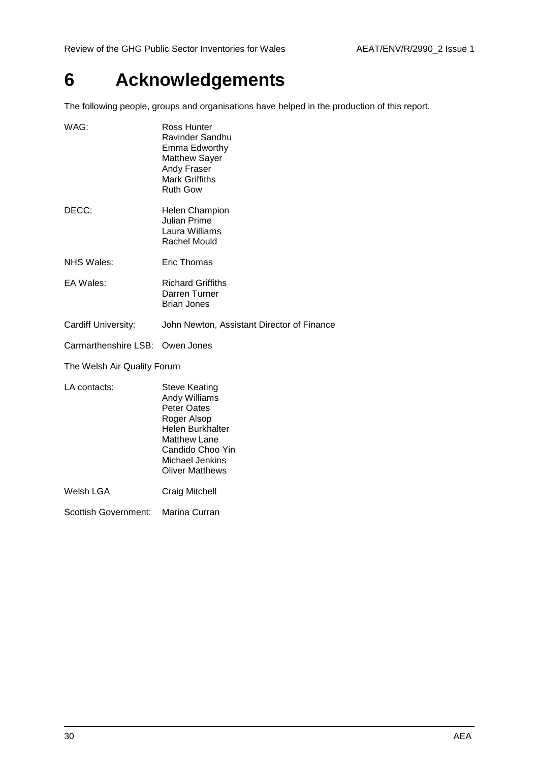## <span id="page-29-0"></span>**6 Acknowledgements**

The following people, groups and organisations have helped in the production of this report.

| WAG:                            | Ross Hunter<br>Ravinder Sandhu<br>Emma Edworthy<br><b>Matthew Sayer</b><br><b>Andy Fraser</b><br><b>Mark Griffiths</b><br><b>Ruth Gow</b>                           |
|---------------------------------|---------------------------------------------------------------------------------------------------------------------------------------------------------------------|
| DECC:                           | <b>Helen Champion</b><br><b>Julian Prime</b><br>Laura Williams<br><b>Rachel Mould</b>                                                                               |
| <b>NHS Wales:</b>               | Eric Thomas                                                                                                                                                         |
| EA Wales:                       | <b>Richard Griffiths</b><br>Darren Turner<br><b>Brian Jones</b>                                                                                                     |
| Cardiff University:             | John Newton, Assistant Director of Finance                                                                                                                          |
| Carmarthenshire LSB: Owen Jones |                                                                                                                                                                     |
| The Welsh Air Quality Forum     |                                                                                                                                                                     |
| LA contacts:                    | <b>Steve Keating</b><br><b>Andy Williams</b><br><b>Peter Oates</b><br>Roger Alsop<br>Helen Burkhalter<br><b>Matthew Lane</b><br>Candido Choo Yin<br>Michael Jenkins |

Oliver Matthews

Welsh LGA Craig Mitchell

Scottish Government: Marina Curran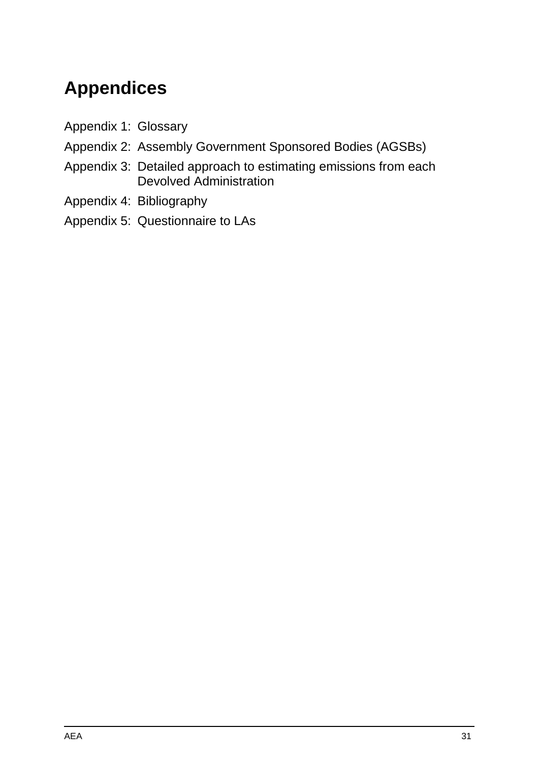## **Appendices**

- Appendix 1: Glossary
- Appendix 2: Assembly Government Sponsored Bodies (AGSBs)
- Appendix 3: Detailed approach to estimating emissions from each Devolved Administration
- Appendix 4: Bibliography
- Appendix 5: Questionnaire to LAs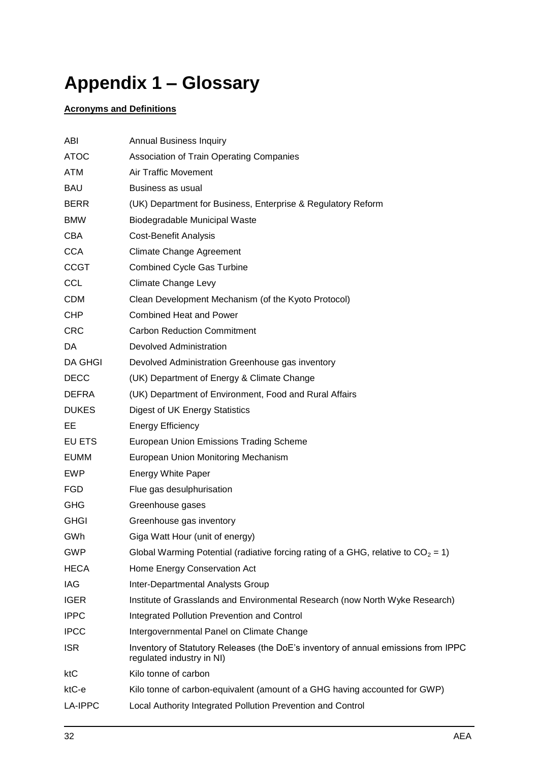## <span id="page-31-0"></span>**Appendix 1 – Glossary**

### **Acronyms and Definitions**

| ABI            | <b>Annual Business Inquiry</b>                                                                                  |
|----------------|-----------------------------------------------------------------------------------------------------------------|
| <b>ATOC</b>    | <b>Association of Train Operating Companies</b>                                                                 |
| ATM            | <b>Air Traffic Movement</b>                                                                                     |
| <b>BAU</b>     | Business as usual                                                                                               |
| <b>BERR</b>    | (UK) Department for Business, Enterprise & Regulatory Reform                                                    |
| <b>BMW</b>     | Biodegradable Municipal Waste                                                                                   |
| <b>CBA</b>     | <b>Cost-Benefit Analysis</b>                                                                                    |
| <b>CCA</b>     | <b>Climate Change Agreement</b>                                                                                 |
| <b>CCGT</b>    | <b>Combined Cycle Gas Turbine</b>                                                                               |
| <b>CCL</b>     | <b>Climate Change Levy</b>                                                                                      |
| <b>CDM</b>     | Clean Development Mechanism (of the Kyoto Protocol)                                                             |
| <b>CHP</b>     | <b>Combined Heat and Power</b>                                                                                  |
| <b>CRC</b>     | <b>Carbon Reduction Commitment</b>                                                                              |
| DA             | <b>Devolved Administration</b>                                                                                  |
| <b>DA GHGI</b> | Devolved Administration Greenhouse gas inventory                                                                |
| <b>DECC</b>    | (UK) Department of Energy & Climate Change                                                                      |
| DEFRA          | (UK) Department of Environment, Food and Rural Affairs                                                          |
| <b>DUKES</b>   | Digest of UK Energy Statistics                                                                                  |
| EЕ             | <b>Energy Efficiency</b>                                                                                        |
| EU ETS         | <b>European Union Emissions Trading Scheme</b>                                                                  |
| EUMM           | European Union Monitoring Mechanism                                                                             |
| EWP            | <b>Energy White Paper</b>                                                                                       |
| <b>FGD</b>     | Flue gas desulphurisation                                                                                       |
| <b>GHG</b>     | Greenhouse gases                                                                                                |
| <b>GHGI</b>    | Greenhouse gas inventory                                                                                        |
| GWh            | Giga Watt Hour (unit of energy)                                                                                 |
| <b>GWP</b>     | Global Warming Potential (radiative forcing rating of a GHG, relative to $CO_2 = 1$ )                           |
| <b>HECA</b>    | Home Energy Conservation Act                                                                                    |
| IAG            | Inter-Departmental Analysts Group                                                                               |
| <b>IGER</b>    | Institute of Grasslands and Environmental Research (now North Wyke Research)                                    |
| <b>IPPC</b>    | Integrated Pollution Prevention and Control                                                                     |
| <b>IPCC</b>    | Intergovernmental Panel on Climate Change                                                                       |
| <b>ISR</b>     | Inventory of Statutory Releases (the DoE's inventory of annual emissions from IPPC<br>regulated industry in NI) |
| ktC            | Kilo tonne of carbon                                                                                            |
| ktC-e          | Kilo tonne of carbon-equivalent (amount of a GHG having accounted for GWP)                                      |
| <b>LA-IPPC</b> | Local Authority Integrated Pollution Prevention and Control                                                     |
|                |                                                                                                                 |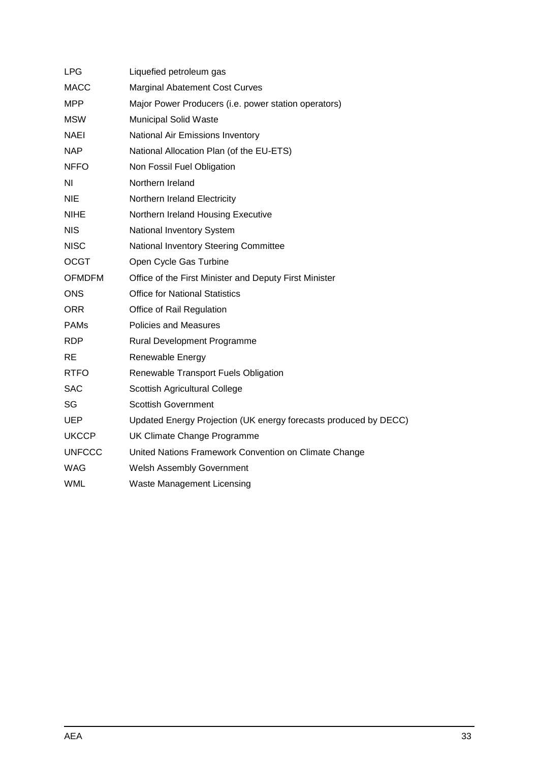| <b>LPG</b>    | Liquefied petroleum gas                                          |
|---------------|------------------------------------------------------------------|
| <b>MACC</b>   | <b>Marginal Abatement Cost Curves</b>                            |
| <b>MPP</b>    | Major Power Producers (i.e. power station operators)             |
| <b>MSW</b>    | <b>Municipal Solid Waste</b>                                     |
| <b>NAEI</b>   | National Air Emissions Inventory                                 |
| <b>NAP</b>    | National Allocation Plan (of the EU-ETS)                         |
| <b>NFFO</b>   | Non Fossil Fuel Obligation                                       |
| ΝI            | Northern Ireland                                                 |
| <b>NIE</b>    | Northern Ireland Electricity                                     |
| <b>NIHE</b>   | Northern Ireland Housing Executive                               |
| <b>NIS</b>    | National Inventory System                                        |
| <b>NISC</b>   | National Inventory Steering Committee                            |
| <b>OCGT</b>   | Open Cycle Gas Turbine                                           |
| <b>OFMDFM</b> | Office of the First Minister and Deputy First Minister           |
| <b>ONS</b>    | <b>Office for National Statistics</b>                            |
| <b>ORR</b>    | Office of Rail Regulation                                        |
| <b>PAMs</b>   | <b>Policies and Measures</b>                                     |
| <b>RDP</b>    | Rural Development Programme                                      |
| RE.           | Renewable Energy                                                 |
| <b>RTFO</b>   | Renewable Transport Fuels Obligation                             |
| <b>SAC</b>    | Scottish Agricultural College                                    |
| SG            | <b>Scottish Government</b>                                       |
| <b>UEP</b>    | Updated Energy Projection (UK energy forecasts produced by DECC) |
| <b>UKCCP</b>  | UK Climate Change Programme                                      |
| <b>UNFCCC</b> | United Nations Framework Convention on Climate Change            |
| <b>WAG</b>    | Welsh Assembly Government                                        |
| <b>WML</b>    | <b>Waste Management Licensing</b>                                |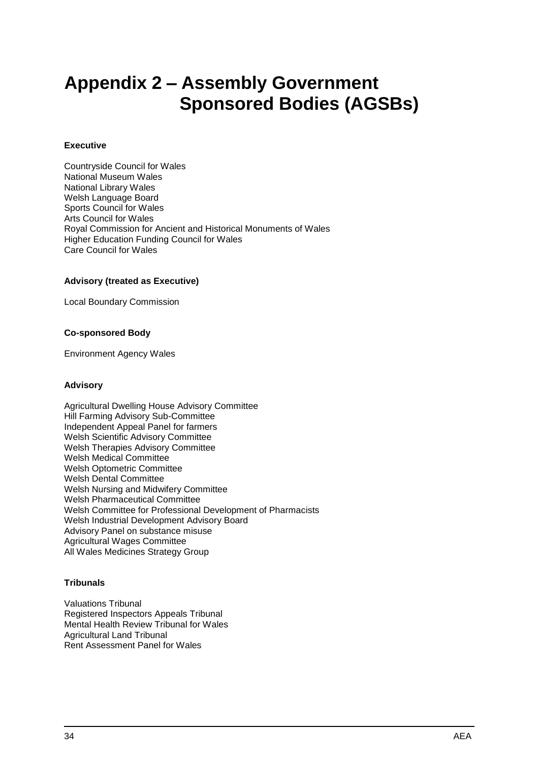## <span id="page-33-0"></span>**Appendix 2 – Assembly Government Sponsored Bodies (AGSBs)**

#### **Executive**

Countryside Council for Wales National Museum Wales National Library Wales Welsh Language Board Sports Council for Wales Arts Council for Wales Royal Commission for Ancient and Historical Monuments of Wales Higher Education Funding Council for Wales Care Council for Wales

#### **Advisory (treated as Executive)**

Local Boundary Commission

#### **Co-sponsored Body**

Environment Agency Wales

#### **Advisory**

Agricultural Dwelling House Advisory Committee Hill Farming Advisory Sub-Committee Independent Appeal Panel for farmers Welsh Scientific Advisory Committee Welsh Therapies Advisory Committee Welsh Medical Committee Welsh Optometric Committee Welsh Dental Committee Welsh Nursing and Midwifery Committee Welsh Pharmaceutical Committee Welsh Committee for Professional Development of Pharmacists Welsh Industrial Development Advisory Board Advisory Panel on substance misuse Agricultural Wages Committee All Wales Medicines Strategy Group

#### **Tribunals**

Valuations Tribunal Registered Inspectors Appeals Tribunal Mental Health Review Tribunal for Wales Agricultural Land Tribunal Rent Assessment Panel for Wales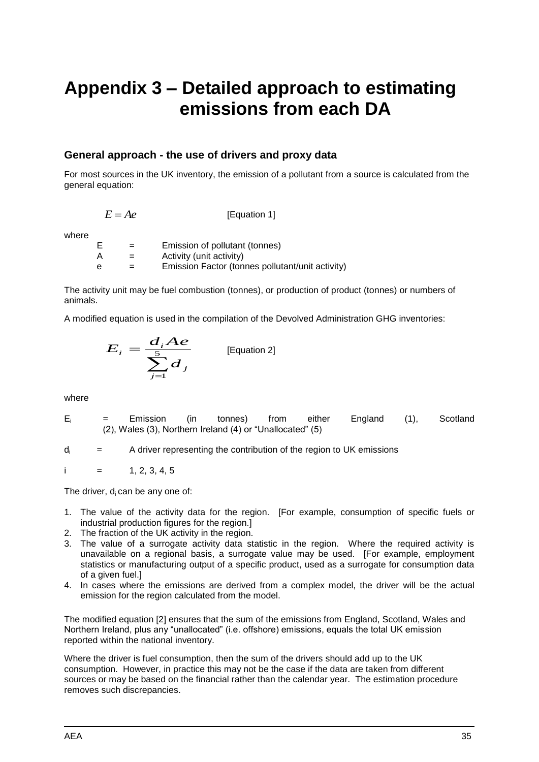## <span id="page-34-0"></span>**Appendix 3 – Detailed approach to estimating emissions from each DA**

### **General approach - the use of drivers and proxy data**

For most sources in the UK inventory, the emission of a pollutant from a source is calculated from the general equation:

$$
E = Ae
$$
 [Equation 1]

where

| E | $=$ | Emission of pollutant (tonnes)                   |
|---|-----|--------------------------------------------------|
| А | $=$ | Activity (unit activity)                         |
| e | $=$ | Emission Factor (tonnes pollutant/unit activity) |

The activity unit may be fuel combustion (tonnes), or production of product (tonnes) or numbers of animals.

A modified equation is used in the compilation of the Devolved Administration GHG inventories:

$$
E_i = \frac{d_i A e}{\sum_{j=1}^{5} d_j}
$$
 [Equation 2]

where

- $E_i$  = Emission (in tonnes) from either England (1), Scotland (2), Wales (3), Northern Ireland (4) or "Unallocated" (5)
- $d_i$  = A driver representing the contribution of the region to UK emissions

$$
i = 1, 2, 3, 4, 5
$$

The driver,  $d_i$  can be any one of:

- 1. The value of the activity data for the region. [For example, consumption of specific fuels or industrial production figures for the region.]
- 2. The fraction of the UK activity in the region.
- 3. The value of a surrogate activity data statistic in the region. Where the required activity is unavailable on a regional basis, a surrogate value may be used. [For example, employment statistics or manufacturing output of a specific product, used as a surrogate for consumption data of a given fuel.]
- 4. In cases where the emissions are derived from a complex model, the driver will be the actual emission for the region calculated from the model.

The modified equation [2] ensures that the sum of the emissions from England, Scotland, Wales and Northern Ireland, plus any "unallocated" (i.e. offshore) emissions, equals the total UK emission reported within the national inventory.

Where the driver is fuel consumption, then the sum of the drivers should add up to the UK consumption. However, in practice this may not be the case if the data are taken from different sources or may be based on the financial rather than the calendar year. The estimation procedure removes such discrepancies.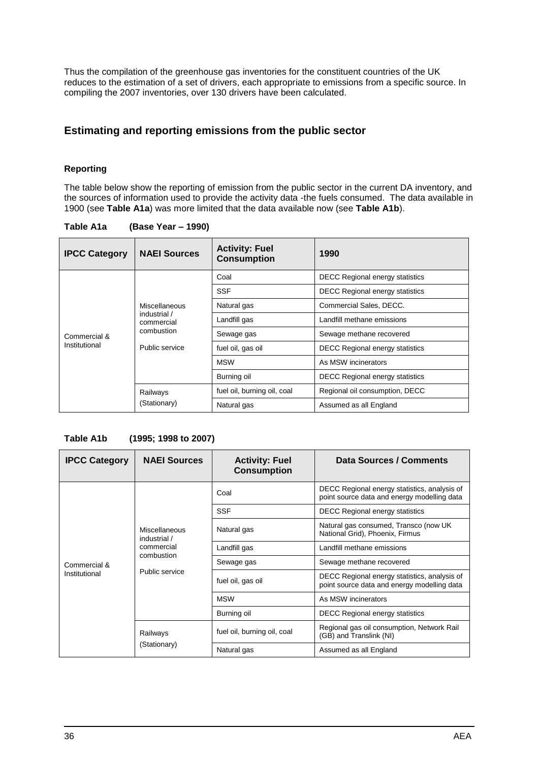Thus the compilation of the greenhouse gas inventories for the constituent countries of the UK reduces to the estimation of a set of drivers, each appropriate to emissions from a specific source. In compiling the 2007 inventories, over 130 drivers have been calculated.

### **Estimating and reporting emissions from the public sector**

#### **Reporting**

The table below show the reporting of emission from the public sector in the current DA inventory, and the sources of information used to provide the activity data -the fuels consumed. The data available in 1900 (see **Table A1a**) was more limited that the data available now (see **Table A1b**).

| <b>IPCC Category</b> | <b>NAEI Sources</b>                                                         | <b>Activity: Fuel</b><br><b>Consumption</b> | 1990                                   |
|----------------------|-----------------------------------------------------------------------------|---------------------------------------------|----------------------------------------|
|                      |                                                                             | Coal                                        | <b>DECC Regional energy statistics</b> |
|                      |                                                                             | <b>SSF</b>                                  | <b>DECC Regional energy statistics</b> |
|                      | Miscellaneous<br>industrial /<br>commercial<br>combustion<br>Public service | Natural gas                                 | Commercial Sales, DECC.                |
|                      |                                                                             | Landfill gas                                | Landfill methane emissions             |
| Commercial &         |                                                                             | Sewage gas                                  | Sewage methane recovered               |
| Institutional        |                                                                             | fuel oil, gas oil                           | <b>DECC Regional energy statistics</b> |
|                      |                                                                             | <b>MSW</b>                                  | As MSW incinerators                    |
|                      |                                                                             | Burning oil                                 | <b>DECC Regional energy statistics</b> |
|                      | Railways                                                                    | fuel oil, burning oil, coal                 | Regional oil consumption, DECC         |
|                      | (Stationary)                                                                | Natural gas                                 | Assumed as all England                 |

**Table A1a (Base Year – 1990)**

#### **Table A1b (1995; 1998 to 2007)**

| <b>IPCC Category</b>          | <b>NAEI Sources</b>                                                         | <b>Activity: Fuel</b><br><b>Consumption</b> | Data Sources / Comments                                                                     |
|-------------------------------|-----------------------------------------------------------------------------|---------------------------------------------|---------------------------------------------------------------------------------------------|
| Commercial &<br>Institutional | Miscellaneous<br>industrial /<br>commercial<br>combustion<br>Public service | Coal                                        | DECC Regional energy statistics, analysis of<br>point source data and energy modelling data |
|                               |                                                                             | <b>SSF</b>                                  | <b>DECC Regional energy statistics</b>                                                      |
|                               |                                                                             | Natural gas                                 | Natural gas consumed, Transco (now UK<br>National Grid), Phoenix, Firmus                    |
|                               |                                                                             | Landfill gas                                | Landfill methane emissions                                                                  |
|                               |                                                                             | Sewage gas                                  | Sewage methane recovered                                                                    |
|                               |                                                                             | fuel oil, gas oil                           | DECC Regional energy statistics, analysis of<br>point source data and energy modelling data |
|                               |                                                                             | <b>MSW</b>                                  | As MSW incinerators                                                                         |
|                               |                                                                             | Burning oil                                 | <b>DECC Regional energy statistics</b>                                                      |
|                               | Railways<br>(Stationary)                                                    | fuel oil, burning oil, coal                 | Regional gas oil consumption, Network Rail<br>(GB) and Translink (NI)                       |
|                               |                                                                             | Natural gas                                 | Assumed as all England                                                                      |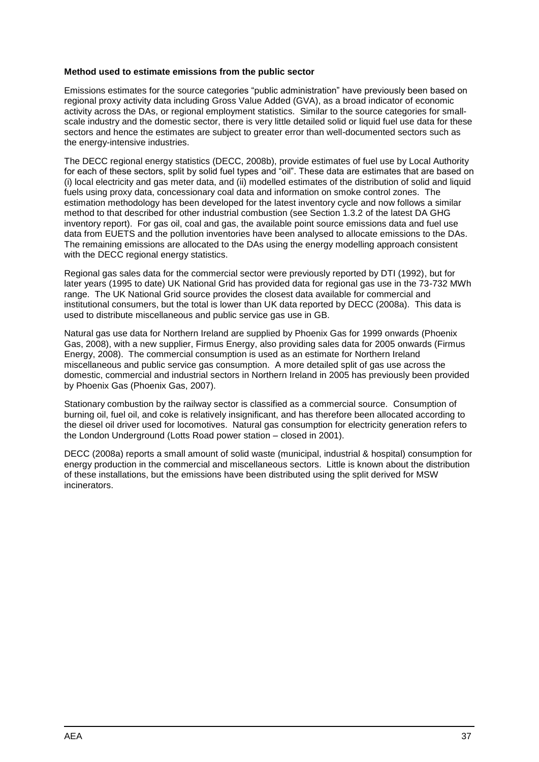#### **Method used to estimate emissions from the public sector**

Emissions estimates for the source categories "public administration" have previously been based on regional proxy activity data including Gross Value Added (GVA), as a broad indicator of economic activity across the DAs, or regional employment statistics. Similar to the source categories for smallscale industry and the domestic sector, there is very little detailed solid or liquid fuel use data for these sectors and hence the estimates are subject to greater error than well-documented sectors such as the energy-intensive industries.

The DECC regional energy statistics (DECC, 2008b), provide estimates of fuel use by Local Authority for each of these sectors, split by solid fuel types and "oil". These data are estimates that are based on (i) local electricity and gas meter data, and (ii) modelled estimates of the distribution of solid and liquid fuels using proxy data, concessionary coal data and information on smoke control zones. The estimation methodology has been developed for the latest inventory cycle and now follows a similar method to that described for other industrial combustion (see Section 1.3.2 of the latest DA GHG inventory report). For gas oil, coal and gas, the available point source emissions data and fuel use data from EUETS and the pollution inventories have been analysed to allocate emissions to the DAs. The remaining emissions are allocated to the DAs using the energy modelling approach consistent with the DECC regional energy statistics.

Regional gas sales data for the commercial sector were previously reported by DTI (1992), but for later years (1995 to date) UK National Grid has provided data for regional gas use in the 73-732 MWh range. The UK National Grid source provides the closest data available for commercial and institutional consumers, but the total is lower than UK data reported by DECC (2008a). This data is used to distribute miscellaneous and public service gas use in GB.

Natural gas use data for Northern Ireland are supplied by Phoenix Gas for 1999 onwards (Phoenix Gas, 2008), with a new supplier, Firmus Energy, also providing sales data for 2005 onwards (Firmus Energy, 2008). The commercial consumption is used as an estimate for Northern Ireland miscellaneous and public service gas consumption. A more detailed split of gas use across the domestic, commercial and industrial sectors in Northern Ireland in 2005 has previously been provided by Phoenix Gas (Phoenix Gas, 2007).

Stationary combustion by the railway sector is classified as a commercial source. Consumption of burning oil, fuel oil, and coke is relatively insignificant, and has therefore been allocated according to the diesel oil driver used for locomotives. Natural gas consumption for electricity generation refers to the London Underground (Lotts Road power station – closed in 2001).

DECC (2008a) reports a small amount of solid waste (municipal, industrial & hospital) consumption for energy production in the commercial and miscellaneous sectors. Little is known about the distribution of these installations, but the emissions have been distributed using the split derived for MSW incinerators.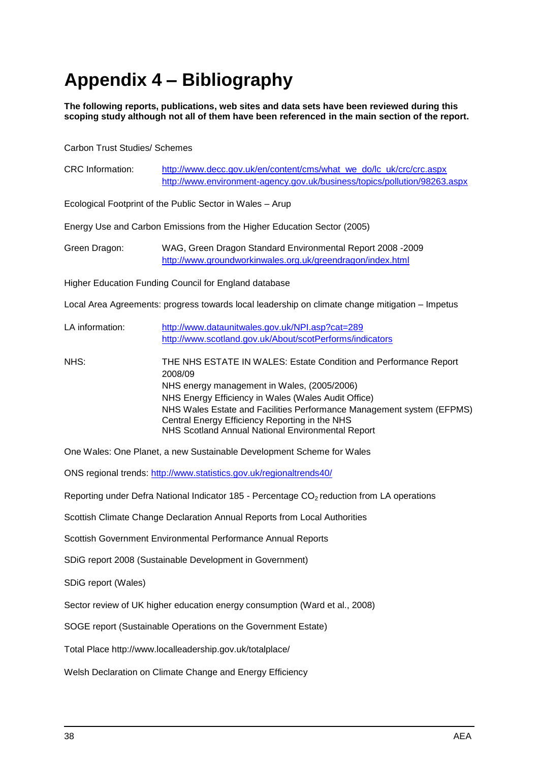## <span id="page-37-0"></span>**Appendix 4 – Bibliography**

**The following reports, publications, web sites and data sets have been reviewed during this scoping study although not all of them have been referenced in the main section of the report.**

Carbon Trust Studies/ Schemes

| <b>CRC</b> Information: | http://www.decc.gov.uk/en/content/cms/what_we_do/lc_uk/crc/crc.aspx<br>http://www.environment-agency.gov.uk/business/topics/pollution/98263.aspx                                                                                                                                                                                                                  |  |  |
|-------------------------|-------------------------------------------------------------------------------------------------------------------------------------------------------------------------------------------------------------------------------------------------------------------------------------------------------------------------------------------------------------------|--|--|
|                         | Ecological Footprint of the Public Sector in Wales - Arup                                                                                                                                                                                                                                                                                                         |  |  |
|                         | Energy Use and Carbon Emissions from the Higher Education Sector (2005)                                                                                                                                                                                                                                                                                           |  |  |
| Green Dragon:           | WAG, Green Dragon Standard Environmental Report 2008 -2009<br>http://www.groundworkinwales.org.uk/greendragon/index.html                                                                                                                                                                                                                                          |  |  |
|                         | Higher Education Funding Council for England database                                                                                                                                                                                                                                                                                                             |  |  |
|                         | Local Area Agreements: progress towards local leadership on climate change mitigation - Impetus                                                                                                                                                                                                                                                                   |  |  |
| LA information:         | http://www.dataunitwales.gov.uk/NPI.asp?cat=289<br>http://www.scotland.gov.uk/About/scotPerforms/indicators                                                                                                                                                                                                                                                       |  |  |
| NHS:                    | THE NHS ESTATE IN WALES: Estate Condition and Performance Report<br>2008/09<br>NHS energy management in Wales, (2005/2006)<br>NHS Energy Efficiency in Wales (Wales Audit Office)<br>NHS Wales Estate and Facilities Performance Management system (EFPMS)<br>Central Energy Efficiency Reporting in the NHS<br>NHS Scotland Annual National Environmental Report |  |  |
|                         | One Wales: One Planet, a new Sustainable Development Scheme for Wales                                                                                                                                                                                                                                                                                             |  |  |

ONS regional trends:<http://www.statistics.gov.uk/regionaltrends40/>

Reporting under Defra National Indicator 185 - Percentage CO<sub>2</sub> reduction from LA operations

Scottish Climate Change Declaration Annual Reports from Local Authorities

Scottish Government Environmental Performance Annual Reports

SDiG report 2008 (Sustainable Development in Government)

SDiG report (Wales)

Sector review of UK higher education energy consumption (Ward et al., 2008)

SOGE report (Sustainable Operations on the Government Estate)

Total Place http://www.localleadership.gov.uk/totalplace/

Welsh Declaration on Climate Change and Energy Efficiency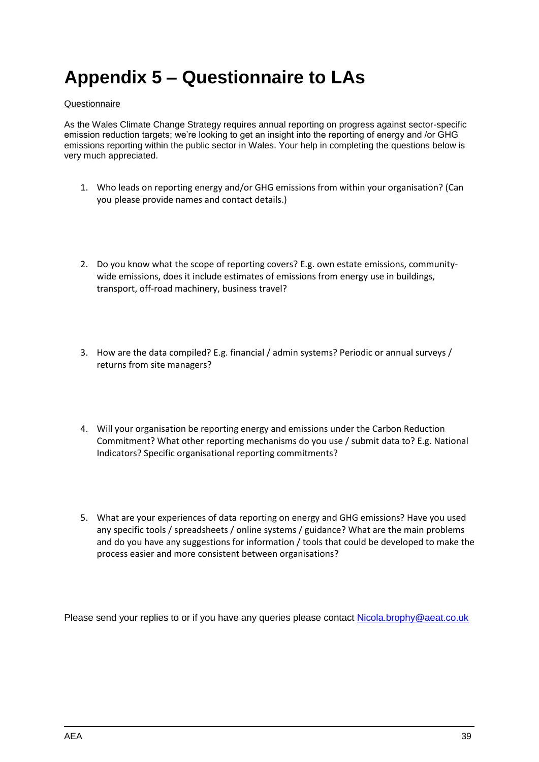## <span id="page-38-0"></span>**Appendix 5 – Questionnaire to LAs**

#### Questionnaire

As the Wales Climate Change Strategy requires annual reporting on progress against sector-specific emission reduction targets; we"re looking to get an insight into the reporting of energy and /or GHG emissions reporting within the public sector in Wales. Your help in completing the questions below is very much appreciated.

- 1. Who leads on reporting energy and/or GHG emissions from within your organisation? (Can you please provide names and contact details.)
- 2. Do you know what the scope of reporting covers? E.g. own estate emissions, communitywide emissions, does it include estimates of emissions from energy use in buildings, transport, off-road machinery, business travel?
- 3. How are the data compiled? E.g. financial / admin systems? Periodic or annual surveys / returns from site managers?
- 4. Will your organisation be reporting energy and emissions under the Carbon Reduction Commitment? What other reporting mechanisms do you use / submit data to? E.g. National Indicators? Specific organisational reporting commitments?
- 5. What are your experiences of data reporting on energy and GHG emissions? Have you used any specific tools / spreadsheets / online systems / guidance? What are the main problems and do you have any suggestions for information / tools that could be developed to make the process easier and more consistent between organisations?

Please send your replies to or if you have any queries please contact [Nicola.brophy@aeat.co.uk](mailto:Nicola.brophy@aeat.co.uk)